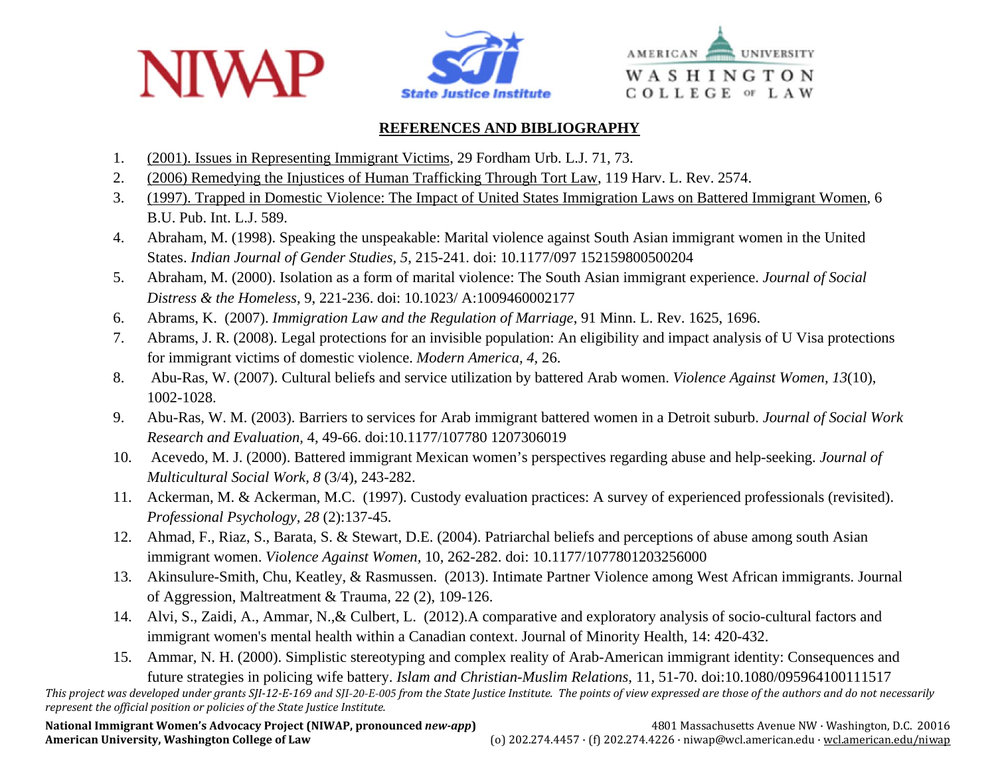## **NIVAP**





## **REFERENCES AND BIBLIOGRAPHY**

- 1.(2001). Issues in Representing Immigrant Victims, 29 Fordham Urb. L.J. 71, 73.
- 2.(2006) Remedying the Injustices of Human Trafficking Through Tort Law, 119 Harv. L. Rev. 2574.
- 3. (1997). Trapped in Domestic Violence: The Impact of United States Immigration Laws on Battered Immigrant Women, 6 B.U. Pub. Int. L.J. 589.
- 4. Abraham, M. (1998). Speaking the unspeakable: Marital violence against South Asian immigrant women in the United States. *Indian Journal of Gender Studies, 5*, 215-241. doi: 10.1177/097 152159800500204
- 5. Abraham, M. (2000). Isolation as a form of marital violence: The South Asian immigrant experience. *Journal of Social Distress & the Homeless,* 9, 221-236. doi: 10.1023/ A:1009460002177
- 6.Abrams, K. (2007). *Immigration Law and the Regulation of Marriage*, 91 Minn. L. Rev. 1625, 1696.
- 7. Abrams, J. R. (2008). Legal protections for an invisible population: An eligibility and impact analysis of U Visa protections for immigrant victims of domestic violence. *Modern America, 4,* 26.
- 8. Abu-Ras, W. (2007). Cultural beliefs and service utilization by battered Arab women. *Violence Against Women, 13*(10), 1002-1028.
- 9. Abu-Ras, W. M. (2003). Barriers to services for Arab immigrant battered women in a Detroit suburb. *Journal of Social Work Research and Evaluation,* 4, 49-66. doi:10.1177/107780 1207306019
- 10. Acevedo, M. J. (2000). Battered immigrant Mexican women's perspectives regarding abuse and help-seeking. *Journal of Multicultural Social Work, 8* (3/4), 243-282.
- 11. Ackerman, M. & Ackerman, M.C. (1997). Custody evaluation practices: A survey of experienced professionals (revisited). *Professional Psychology, 28* (2):137-45.
- 12. Ahmad, F., Riaz, S., Barata, S. & Stewart, D.E. (2004). Patriarchal beliefs and perceptions of abuse among south Asian immigrant women. *Violence Against Women,* 10, 262-282. doi: 10.1177/1077801203256000
- 13. Akinsulure-Smith, Chu, Keatley, & Rasmussen. (2013). Intimate Partner Violence among West African immigrants. Journal of Aggression, Maltreatment & Trauma, 22 (2), 109-126.
- 14. Alvi, S., Zaidi, A., Ammar, N.,& Culbert, L. (2012).A comparative and exploratory analysis of socio-cultural factors and immigrant women's mental health within a Canadian context. Journal of Minority Health, 14: 420-432.
- 15. Ammar, N. H. (2000). Simplistic stereotyping and complex reality of Arab-American immigrant identity: Consequences and future strategies in policing wife battery. *Islam and Christian-Muslim Relations,* 11, 51-70. doi:10.1080/095964100111517

This project was developed under grants SJI-12-E-169 and SJI-20-E-005 from the State Justice Institute. The points of view expressed are those of the authors and do not necessarily<br>represent the efficial position or polici *represent the official position or policies of the State Justice Institute.*

**American**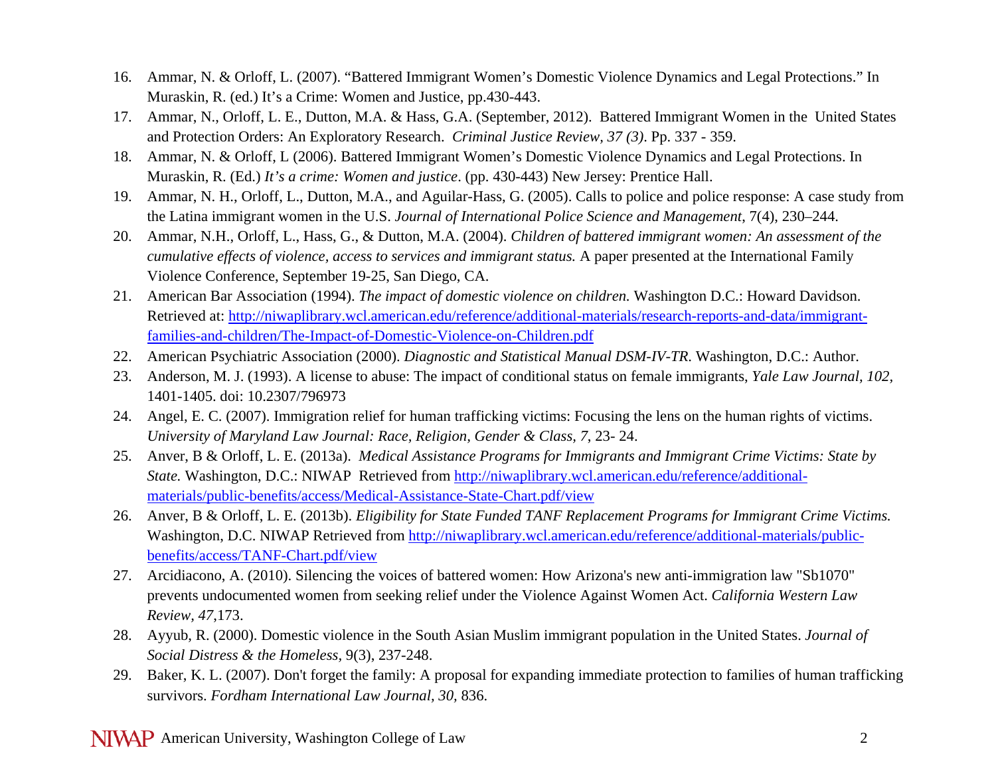- 16. Ammar, N. & Orloff, L. (2007). "Battered Immigrant Women's Domestic Violence Dynamics and Legal Protections." In Muraskin, R. (ed.) It's a Crime: Women and Justice, pp.430-443.
- 17. Ammar, N., Orloff, L. E., Dutton, M.A. & Hass, G.A. (September, 2012). Battered Immigrant Women in the United States and Protection Orders: An Exploratory Research. *Criminal Justice Review, 37 (3)*. Pp. 337 - 359.
- 18. Ammar, N. & Orloff, L (2006). Battered Immigrant Women's Domestic Violence Dynamics and Legal Protections. In Muraskin, R. (Ed.) *It's a crime: Women and justice*. (pp. 430-443) New Jersey: Prentice Hall.
- 19. Ammar, N. H., Orloff, L., Dutton, M.A., and Aguilar-Hass, G. (2005). Calls to police and police response: A case study from the Latina immigrant women in the U.S. *Journal of International Police Science and Management*, 7(4), 230–244.
- 20. Ammar, N.H., Orloff, L., Hass, G., & Dutton, M.A. (2004). *Children of battered immigrant women: An assessment of the cumulative effects of violence, access to services and immigrant status.* A paper presented at the International Family Violence Conference, September 19-25, San Diego, CA.
- 21. American Bar Association (1994). *The impact of domestic violence on children.* Washington D.C.: Howard Davidson. Retrieved at: http://niwaplibrary.wcl.american.edu/reference/additional-materials/research-reports-and-data/immigrantfamilies-and-children/The-Impact-of-Domestic-Violence-on-Children.pdf
- 22. American Psychiatric Association (2000). *Diagnostic and Statistical Manual DSM-IV-TR*. Washington, D.C.: Author.
- 23. Anderson, M. J. (1993). A license to abuse: The impact of conditional status on female immigrants, *Yale Law Journal, 102,* 1401-1405. doi: 10.2307/796973
- 24. Angel, E. C. (2007). Immigration relief for human trafficking victims: Focusing the lens on the human rights of victims. *University of Maryland Law Journal: Race, Religion, Gender & Class, 7*, 23- 24.
- 25. Anver, B & Orloff, L. E. (2013a). *Medical Assistance Programs for Immigrants and Immigrant Crime Victims: State by State.* Washington, D.C.: NIWAP Retrieved from http://niwaplibrary.wcl.american.edu/reference/additionalmaterials/public-benefits/access/Medical-Assistance-State-Chart.pdf/view
- 26. Anver, B & Orloff, L. E. (2013b). *Eligibility for State Funded TANF Replacement Programs for Immigrant Crime Victims.* Washington, D.C. NIWAP Retrieved from http://niwaplibrary.wcl.american.edu/reference/additional-materials/publicbenefits/access/TANF-Chart.pdf/view
- 27. Arcidiacono, A. (2010). Silencing the voices of battered women: How Arizona's new anti-immigration law "Sb1070" prevents undocumented women from seeking relief under the Violence Against Women Act. *California Western Law Review, 47*,173.
- 28. Ayyub, R. (2000). Domestic violence in the South Asian Muslim immigrant population in the United States. *Journal of Social Distress & the Homeless,* 9(3), 237-248.
- 29. Baker, K. L. (2007). Don't forget the family: A proposal for expanding immediate protection to families of human trafficking survivors. *Fordham International Law Journal, 30,* 836.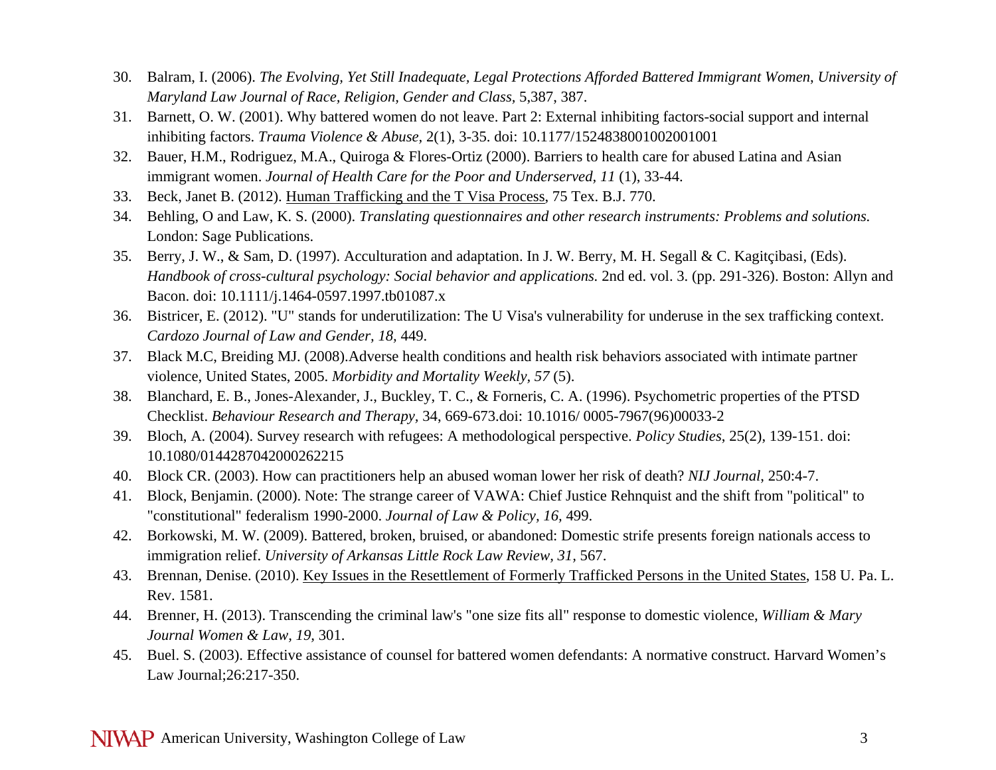- 30. Balram, I. (2006). *The Evolving, Yet Still Inadequate, Legal Protections Afforded Battered Immigrant Women*, *University of Maryland Law Journal of Race, Religion, Gender and Class,* 5,387, 387.
- 31. Barnett, O. W. (2001). Why battered women do not leave. Part 2: External inhibiting factors-social support and internal inhibiting factors. *Trauma Violence & Abuse,* 2(1), 3-35. doi: 10.1177/1524838001002001001
- 32. Bauer, H.M., Rodriguez, M.A., Quiroga & Flores-Ortiz (2000). Barriers to health care for abused Latina and Asian immigrant women. *Journal of Health Care for the Poor and Underserved, 11* (1), 33-44.
- 33. Beck, Janet B. (2012). Human Trafficking and the T Visa Process, 75 Tex. B.J. 770.
- 34. Behling, O and Law, K. S. (2000). *Translating questionnaires and other research instruments: Problems and solutions.* London: Sage Publications.
- 35. Berry, J. W., & Sam, D. (1997). Acculturation and adaptation. In J. W. Berry, M. H. Segall & C. Kagitçibasi, (Eds). *Handbook of cross-cultural psychology: Social behavior and applications.* 2nd ed. vol. 3. (pp. 291-326). Boston: Allyn and Bacon. doi: 10.1111/j.1464-0597.1997.tb01087.x
- 36. Bistricer, E. (2012). "U" stands for underutilization: The U Visa's vulnerability for underuse in the sex trafficking context. *Cardozo Journal of Law and Gender, 18,* 449.
- 37. Black M.C, Breiding MJ. (2008).Adverse health conditions and health risk behaviors associated with intimate partner violence, United States, 2005. *Morbidity and Mortality Weekly, 57* (5).
- 38. Blanchard, E. B., Jones-Alexander, J., Buckley, T. C., & Forneris, C. A. (1996). Psychometric properties of the PTSD Checklist. *Behaviour Research and Therapy,* 34, 669-673.doi: 10.1016/ 0005-7967(96)00033-2
- 39. Bloch, A. (2004). Survey research with refugees: A methodological perspective. *Policy Studies*, 25(2), 139-151. doi: 10.1080/0144287042000262215
- 40. Block CR. (2003). How can practitioners help an abused woman lower her risk of death? *NIJ Journal*, 250:4-7.
- 41. Block, Benjamin. (2000). Note: The strange career of VAWA: Chief Justice Rehnquist and the shift from "political" to "constitutional" federalism 1990-2000. *Journal of Law & Policy, 16,* 499.
- 42. Borkowski, M. W. (2009). Battered, broken, bruised, or abandoned: Domestic strife presents foreign nationals access to immigration relief. *University of Arkansas Little Rock Law Review, 31,* 567.
- 43. Brennan, Denise. (2010). <u>Key Issues in the Resettlement of Formerly Trafficked Persons in the United States</u>, 158 U. Pa. L. Rev. 1581.
- 44. Brenner, H. (2013). Transcending the criminal law's "one size fits all" response to domestic violence, *William & Mary Journal Women & Law, 19,* 301.
- 45. Buel. S. (2003). Effective assistance of counsel for battered women defendants: A normative construct. Harvard Women's Law Journal;26:217-350.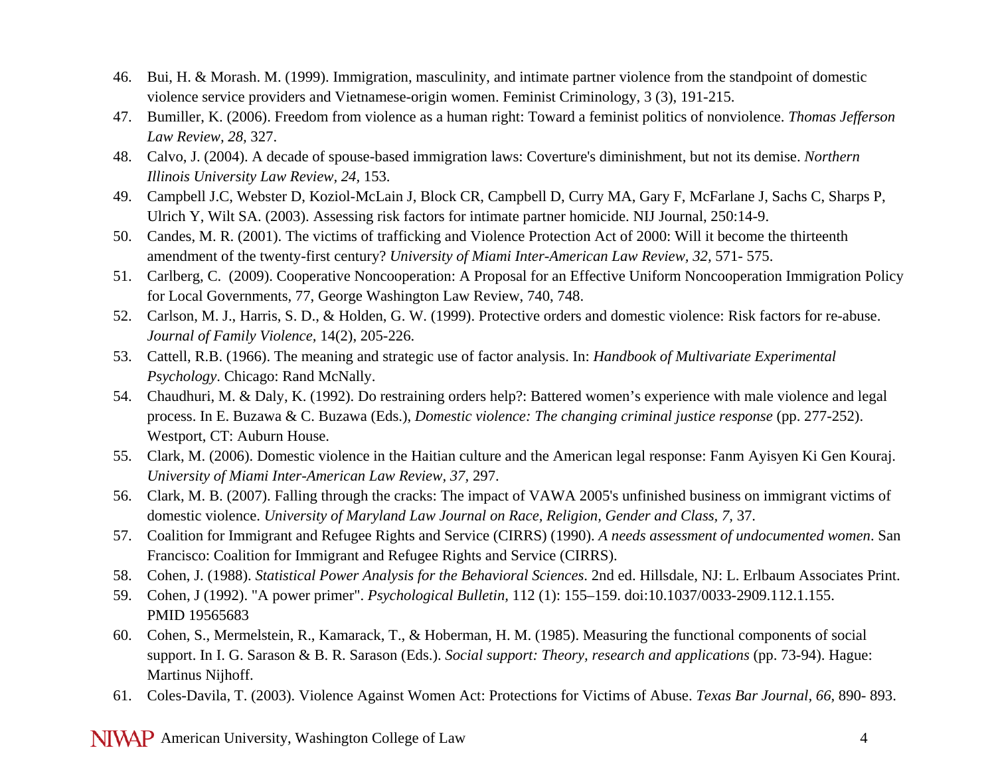- 46. Bui, H. & Morash. M. (1999). Immigration, masculinity, and intimate partner violence from the standpoint of domestic violence service providers and Vietnamese-origin women. Feminist Criminology, 3 (3), 191-215.
- 47. Bumiller, K. (2006). Freedom from violence as a human right: Toward a feminist politics of nonviolence. *Thomas Jefferson Law Review, 28,* 327.
- 48. Calvo, J. (2004). A decade of spouse-based immigration laws: Coverture's diminishment, but not its demise. *Northern Illinois University Law Review, 24,* 153.
- 49. Campbell J.C, Webster D, Koziol-McLain J, Block CR, Campbell D, Curry MA, Gary F, McFarlane J, Sachs C, Sharps P, Ulrich Y, Wilt SA. (2003). Assessing risk factors for intimate partner homicide. NIJ Journal, 250:14-9.
- 50. Candes, M. R. (2001). The victims of trafficking and Violence Protection Act of 2000: Will it become the thirteenth amendment of the twenty-first century? *University of Miami Inter-American Law Review, 32,* 571- 575.
- 51. Carlberg, C. (2009). Cooperative Noncooperation: A Proposal for an Effective Uniform Noncooperation Immigration Policy for Local Governments, 77, George Washington Law Review, 740, 748.
- 52. Carlson, M. J., Harris, S. D., & Holden, G. W. (1999). Protective orders and domestic violence: Risk factors for re-abuse. *Journal of Family Violence,* 14(2), 205-226.
- 53. Cattell, R.B. (1966). The meaning and strategic use of factor analysis. In: *Handbook of Multivariate Experimental Psychology*. Chicago: Rand McNally.
- 54. Chaudhuri, M. & Daly, K. (1992). Do restraining orders help?: Battered women's experience with male violence and legal process. In E. Buzawa & C. Buzawa (Eds.), *Domestic violence: The changing criminal justice response* (pp. 277-252). Westport, CT: Auburn House.
- 55. Clark, M. (2006). Domestic violence in the Haitian culture and the American legal response: Fanm Ayisyen Ki Gen Kouraj. *University of Miami Inter-American Law Review, 37,* 297.
- 56. Clark, M. B. (2007). Falling through the cracks: The impact of VAWA 2005's unfinished business on immigrant victims of domestic violence. *University of Maryland Law Journal on Race, Religion, Gender and Class, 7,* 37.
- 57. Coalition for Immigrant and Refugee Rights and Service (CIRRS) (1990). *A needs assessment of undocumented women*. San Francisco: Coalition for Immigrant and Refugee Rights and Service (CIRRS).
- 58. Cohen, J. (1988). *Statistical Power Analysis for the Behavioral Sciences*. 2nd ed. Hillsdale, NJ: L. Erlbaum Associates Print.
- 59. Cohen, J (1992). "A power primer". *Psychological Bulletin,* 112 (1): 155–159. doi:10.1037/0033-2909.112.1.155. PMID 19565683
- 60. Cohen, S., Mermelstein, R., Kamarack, T., & Hoberman, H. M. (1985). Measuring the functional components of social support. In I. G. Sarason & B. R. Sarason (Eds.). *Social support: Theory, research and applications* (pp. 73-94). Hague: Martinus Nijhoff.
- 61. Coles-Davila, T. (2003). Violence Against Women Act: Protections for Victims of Abuse. *Texas Bar Journal, 66,* 890- 893.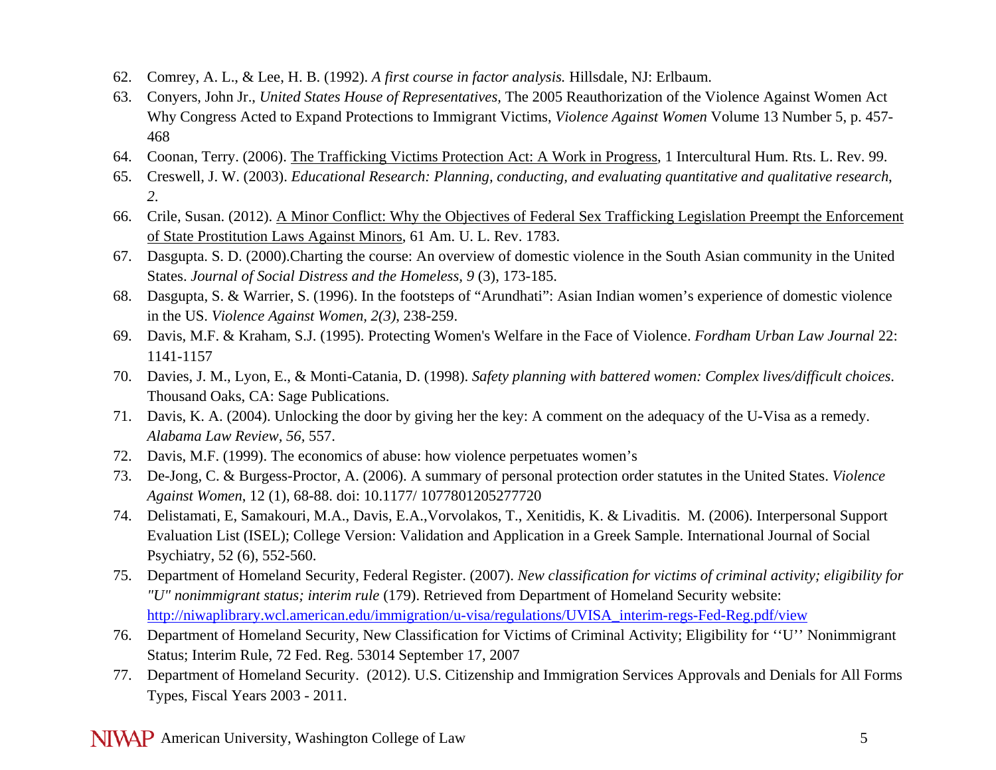- 62. Comrey, A. L., & Lee, H. B. (1992). *A first course in factor analysis.* Hillsdale, NJ: Erlbaum.
- 63. Conyers, John Jr., *United States House of Representatives,* The 2005 Reauthorization of the Violence Against Women Act Why Congress Acted to Expand Protections to Immigrant Victims, *Violence Against Women* Volume 13 Number 5, p. 457- 468
- 64. Coonan, Terry. (2006). <u>The Trafficking Victims Protection Act: A Work in Progress</u>, 1 Intercultural Hum. Rts. L. Rev. 99.
- 65. Creswell, J. W. (2003). *Educational Research: Planning, conducting, and evaluating quantitative and qualitative research*, *2*.
- 66. Crile, Susan. (2012). <u>A Minor Conflict: Why the Objectives of Federal Sex Trafficking Legislation Preempt the Enforcement</u> of State Prostitution Laws Against Minors, 61 Am. U. L. Rev. 1783.
- 67. Dasgupta. S. D. (2000).Charting the course: An overview of domestic violence in the South Asian community in the United States. *Journal of Social Distress and the Homeless, 9* (3), 173-185.
- 68. Dasgupta, S. & Warrier, S. (1996). In the footsteps of "Arundhati": Asian Indian women's experience of domestic violence in the US. *Violence Against Women, 2(3)*, 238-259.
- 69. Davis, M.F. & Kraham, S.J. (1995). Protecting Women's Welfare in the Face of Violence. *Fordham Urban Law Journal* 22: 1141-1157
- 70. Davies, J. M., Lyon, E., & Monti-Catania, D. (1998). *Safety planning with battered women: Complex lives/difficult choices*. Thousand Oaks, CA: Sage Publications.
- 71. Davis, K. A. (2004). Unlocking the door by giving her the key: A comment on the adequacy of the U-Visa as a remedy. *Alabama Law Review, 56,* 557.
- 72. Davis, M.F. (1999). The economics of abuse: how violence perpetuates women's
- 73. De-Jong, C. & Burgess-Proctor, A. (2006). A summary of personal protection order statutes in the United States. *Violence Against Women*, 12 (1), 68-88. doi: 10.1177/ 1077801205277720
- 74. Delistamati, E, Samakouri, M.A., Davis, E.A.,Vorvolakos, T., Xenitidis, K. & Livaditis. M. (2006). Interpersonal Support Evaluation List (ISEL); College Version: Validation and Application in a Greek Sample. International Journal of Social Psychiatry, 52 (6), 552-560.
- 75. Department of Homeland Security, Federal Register. (2007). *New classification for victims of criminal activity; eligibility for "U" nonimmigrant status; interim rule* (179). Retrieved from Department of Homeland Security website: http://niwaplibrary.wcl.american.edu/immigration/u-visa/regulations/UVISA\_interim-regs-Fed-Reg.pdf/view
- 76. Department of Homeland Security, New Classification for Victims of Criminal Activity; Eligibility for ''U'' Nonimmigrant Status; Interim Rule, 72 Fed. Reg. 53014 September 17, 2007
- 77. Department of Homeland Security. (2012). U.S. Citizenship and Immigration Services Approvals and Denials for All Forms Types, Fiscal Years 2003 - 2011.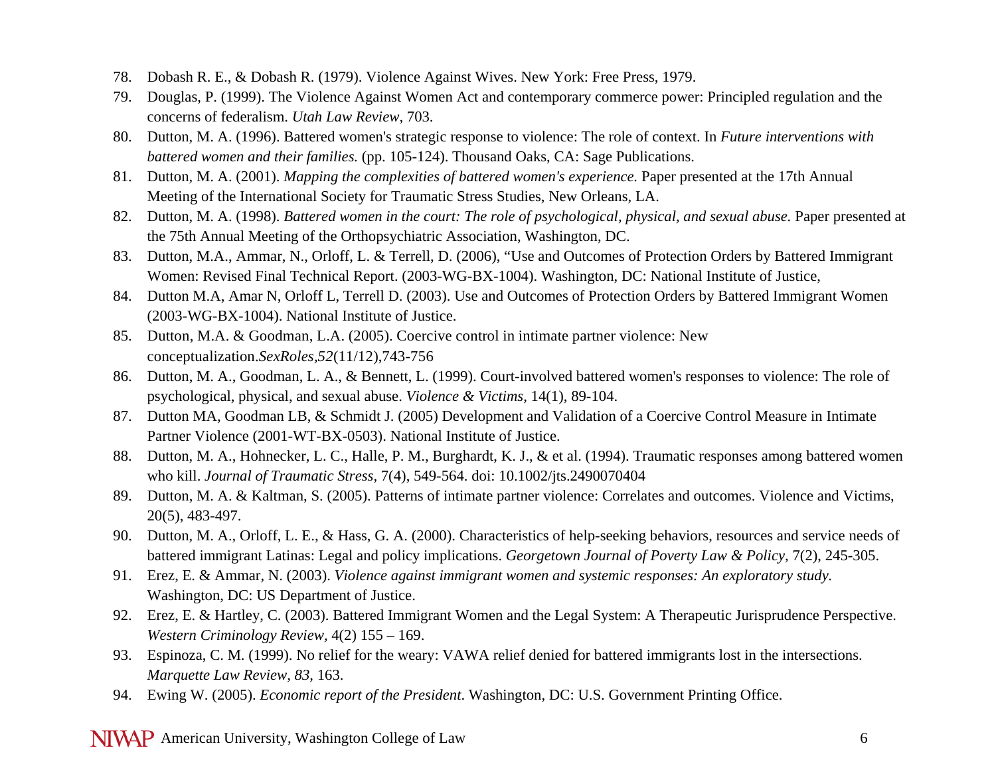- 78. Dobash R. E., & Dobash R. (1979). Violence Against Wives. New York: Free Press, 1979.
- 79. Douglas, P. (1999). The Violence Against Women Act and contemporary commerce power: Principled regulation and the concerns of federalism. *Utah Law Review,* 703.
- 80. Dutton, M. A. (1996). Battered women's strategic response to violence: The role of context. In *Future interventions with battered women and their families.* (pp. 105-124). Thousand Oaks, CA: Sage Publications.
- 81. Dutton, M. A. (2001). *Mapping the complexities of battered women's experience.* Paper presented at the 17th Annual Meeting of the International Society for Traumatic Stress Studies, New Orleans, LA.
- 82. Dutton, M. A. (1998). *Battered women in the court: The role of psychological, physical, and sexual abuse*. Paper presented at the 75th Annual Meeting of the Orthopsychiatric Association, Washington, DC.
- 83. Dutton, M.A., Ammar, N., Orloff, L. & Terrell, D. (2006), "Use and Outcomes of Protection Orders by Battered Immigrant Women: Revised Final Technical Report. (2003-WG-BX-1004). Washington, DC: National Institute of Justice,
- 84. Dutton M.A, Amar N, Orloff L, Terrell D. (2003). Use and Outcomes of Protection Orders by Battered Immigrant Women (2003-WG-BX-1004). National Institute of Justice.
- 85. Dutton, M.A. & Goodman, L.A. (2005). Coercive control in intimate partner violence: New conceptualization.*SexRoles,52*(11/12),743-756
- 86. Dutton, M. A., Goodman, L. A., & Bennett, L. (1999). Court-involved battered women's responses to violence: The role of psychological, physical, and sexual abuse. *Violence & Victims,* 14(1), 89-104.
- 87. Dutton MA, Goodman LB, & Schmidt J. (2005) Development and Validation of a Coercive Control Measure in Intimate Partner Violence (2001-WT-BX-0503). National Institute of Justice.
- 88. Dutton, M. A., Hohnecker, L. C., Halle, P. M., Burghardt, K. J., & et al. (1994). Traumatic responses among battered women who kill. *Journal of Traumatic Stress,* 7(4), 549-564. doi: 10.1002/jts.2490070404
- 89. Dutton, M. A. & Kaltman, S. (2005). Patterns of intimate partner violence: Correlates and outcomes. Violence and Victims, 20(5), 483-497.
- 90. Dutton, M. A., Orloff, L. E., & Hass, G. A. (2000). Characteristics of help-seeking behaviors, resources and service needs of battered immigrant Latinas: Legal and policy implications. *Georgetown Journal of Poverty Law & Policy,* 7(2), 245-305.
- 91. Erez, E. & Ammar, N. (2003). *Violence against immigrant women and systemic responses: An exploratory study.*  Washington, DC: US Department of Justice.
- 92. Erez, E. & Hartley, C. (2003). Battered Immigrant Women and the Legal System: A Therapeutic Jurisprudence Perspective. *Western Criminology Review,* 4(2) 155 – 169.
- 93. Espinoza, C. M. (1999). No relief for the weary: VAWA relief denied for battered immigrants lost in the intersections. *Marquette Law Review, 83,* 163.
- 94. Ewing W. (2005). *Economic report of the President*. Washington, DC: U.S. Government Printing Office.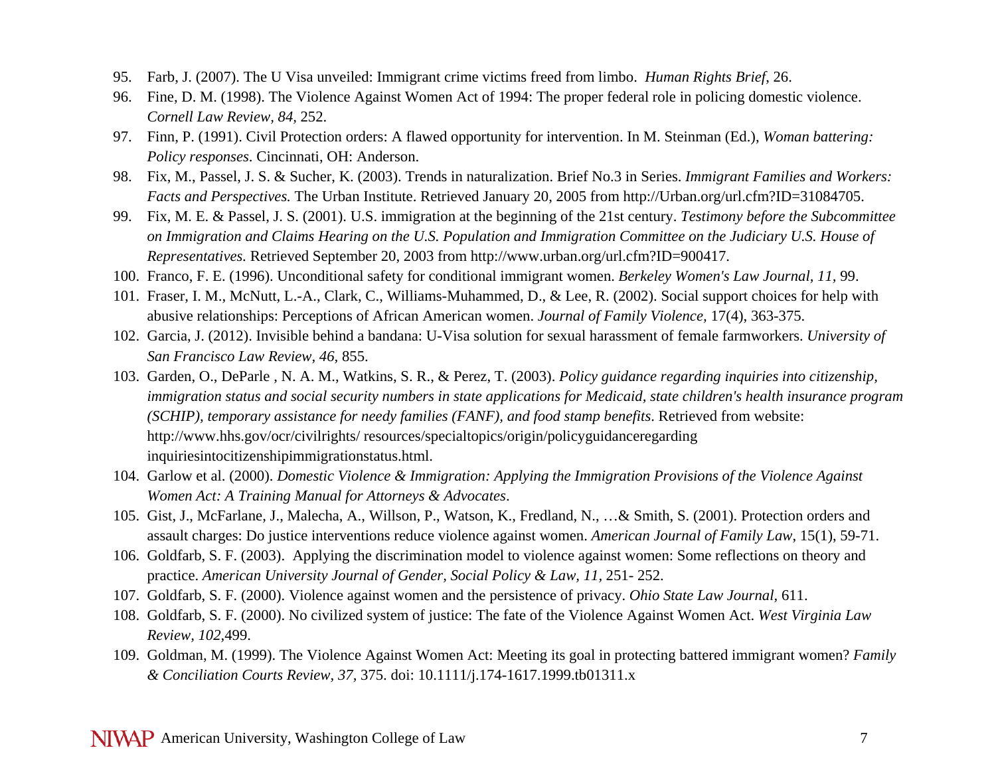- 95. Farb, J. (2007). The U Visa unveiled: Immigrant crime victims freed from limbo. *Human Rights Brief*, 26.
- 96. Fine, D. M. (1998). The Violence Against Women Act of 1994: The proper federal role in policing domestic violence. *Cornell Law Review, 84,* 252.
- 97. Finn, P. (1991). Civil Protection orders: A flawed opportunity for intervention. In M. Steinman (Ed.), *Woman battering: Policy responses*. Cincinnati, OH: Anderson.
- 98. Fix, M., Passel, J. S. & Sucher, K. (2003). Trends in naturalization. Brief No.3 in Series. *Immigrant Families and Workers: Facts and Perspectives.* The Urban Institute. Retrieved January 20, 2005 from http://Urban.org/url.cfm?ID=31084705.
- 99. Fix, M. E. & Passel, J. S. (2001). U.S. immigration at the beginning of the 21st century. *Testimony before the Subcommittee on Immigration and Claims Hearing on the U.S. Population and Immigration Committee on the Judiciary U.S. House of Representatives.* Retrieved September 20, 2003 from http://www.urban.org/url.cfm?ID=900417.
- 100. Franco, F. E. (1996). Unconditional safety for conditional immigrant women. *Berkeley Women's Law Journal, 11,* 99.
- 101. Fraser, I. M., McNutt, L.-A., Clark, C., Williams-Muhammed, D., & Lee, R. (2002). Social support choices for help with abusive relationships: Perceptions of African American women. *Journal of Family Violence,* 17(4), 363-375.
- 102. Garcia, J. (2012). Invisible behind a bandana: U-Visa solution for sexual harassment of female farmworkers. *University of San Francisco Law Review, 46,* 855.
- 103. Garden, O., DeParle , N. A. M., Watkins, S. R., & Perez, T. (2003). *Policy guidance regarding inquiries into citizenship, immigration status and social security numbers in state applications for Medicaid, state children's health insurance program (SCHIP), temporary assistance for needy families (FANF), and food stamp benefits*. Retrieved from website: http://www.hhs.gov/ocr/civilrights/ resources/specialtopics/origin/policyguidanceregarding inquiriesintocitizenshipimmigrationstatus.html.
- 104. Garlow et al. (2000). *Domestic Violence & Immigration: Applying the Immigration Provisions of the Violence Against Women Act: A Training Manual for Attorneys & Advocates*.
- 105. Gist, J., McFarlane, J., Malecha, A., Willson, P., Watson, K., Fredland, N., …& Smith, S. (2001). Protection orders and assault charges: Do justice interventions reduce violence against women. *American Journal of Family Law*, 15(1), 59-71.
- 106. Goldfarb, S. F. (2003). Applying the discrimination model to violence against women: Some reflections on theory and practice. *American University Journal of Gender, Social Policy & Law, 11,* 251- 252.
- 107. Goldfarb, S. F. (2000). Violence against women and the persistence of privacy. *Ohio State Law Journal,* 611.
- 108. Goldfarb, S. F. (2000). No civilized system of justice: The fate of the Violence Against Women Act. *West Virginia Law Review, 102,*499.
- 109. Goldman, M. (1999). The Violence Against Women Act: Meeting its goal in protecting battered immigrant women? *Family & Conciliation Courts Review, 37,* 375. doi: 10.1111/j.174-1617.1999.tb01311.x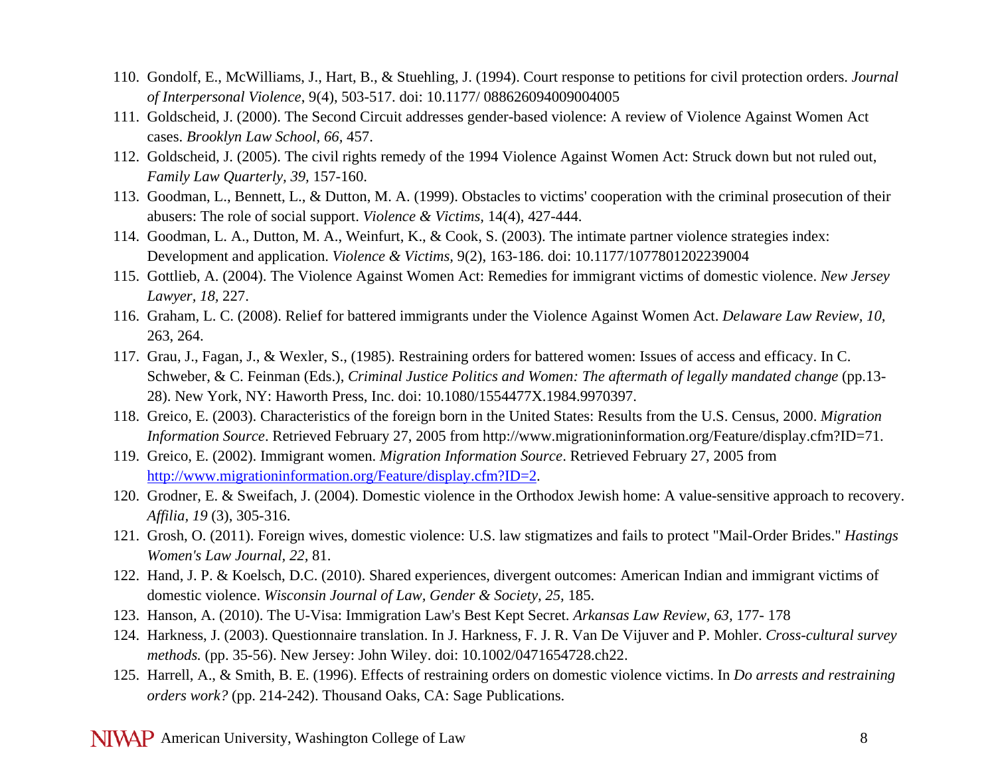- 110. Gondolf, E., McWilliams, J., Hart, B., & Stuehling, J. (1994). Court response to petitions for civil protection orders. *Journal of Interpersonal Violence*, 9(4), 503-517. doi: 10.1177/ 088626094009004005
- 111. Goldscheid, J. (2000). The Second Circuit addresses gender-based violence: A review of Violence Against Women Act cases. *Brooklyn Law School, 66,* 457.
- 112. Goldscheid, J. (2005). The civil rights remedy of the 1994 Violence Against Women Act: Struck down but not ruled out, *Family Law Quarterly, 39,* 157-160.
- 113. Goodman, L., Bennett, L., & Dutton, M. A. (1999). Obstacles to victims' cooperation with the criminal prosecution of their abusers: The role of social support. *Violence & Victims,* 14(4), 427-444.
- 114. Goodman, L. A., Dutton, M. A., Weinfurt, K., & Cook, S. (2003). The intimate partner violence strategies index: Development and application. *Violence & Victims,* 9(2), 163-186. doi: 10.1177/1077801202239004
- 115. Gottlieb, A. (2004). The Violence Against Women Act: Remedies for immigrant victims of domestic violence. *New Jersey Lawyer, 18,* 227.
- 116. Graham, L. C. (2008). Relief for battered immigrants under the Violence Against Women Act. *Delaware Law Review, 10,* 263, 264.
- 117. Grau, J., Fagan, J., & Wexler, S., (1985). Restraining orders for battered women: Issues of access and efficacy. In C. Schweber, & C. Feinman (Eds.), *Criminal Justice Politics and Women: The aftermath of legally mandated change* (pp.13-28). New York, NY: Haworth Press, Inc. doi: 10.1080/1554477X.1984.9970397.
- 118. Greico, E. (2003). Characteristics of the foreign born in the United States: Results from the U.S. Census, 2000. *Migration Information Source*. Retrieved February 27, 2005 from http://www.migrationinformation.org/Feature/display.cfm?ID=71.
- 119. Greico, E. (2002). Immigrant women. *Migration Information Source*. Retrieved February 27, 2005 from http://www.migrationinformation.org/Feature/display.cfm?ID=2.
- 120. Grodner, E. & Sweifach, J. (2004). Domestic violence in the Orthodox Jewish home: A value-sensitive approach to recovery. *Affilia, 19* (3), 305-316.
- 121. Grosh, O. (2011). Foreign wives, domestic violence: U.S. law stigmatizes and fails to protect "Mail-Order Brides." *Hastings Women's Law Journal, 22,* 81.
- 122. Hand, J. P. & Koelsch, D.C. (2010). Shared experiences, divergent outcomes: American Indian and immigrant victims of domestic violence. *Wisconsin Journal of Law, Gender & Society, 25,* 185.
- 123. Hanson, A. (2010). The U-Visa: Immigration Law's Best Kept Secret. *Arkansas Law Review, 63,* 177- 178
- 124. Harkness, J. (2003). Questionnaire translation. In J. Harkness, F. J. R. Van De Vijuver and P. Mohler. *Cross-cultural survey methods.* (pp. 35-56). New Jersey: John Wiley. doi: 10.1002/0471654728.ch22.
- 125. Harrell, A., & Smith, B. E. (1996). Effects of restraining orders on domestic violence victims. In *Do arrests and restraining orders work?* (pp. 214-242). Thousand Oaks, CA: Sage Publications.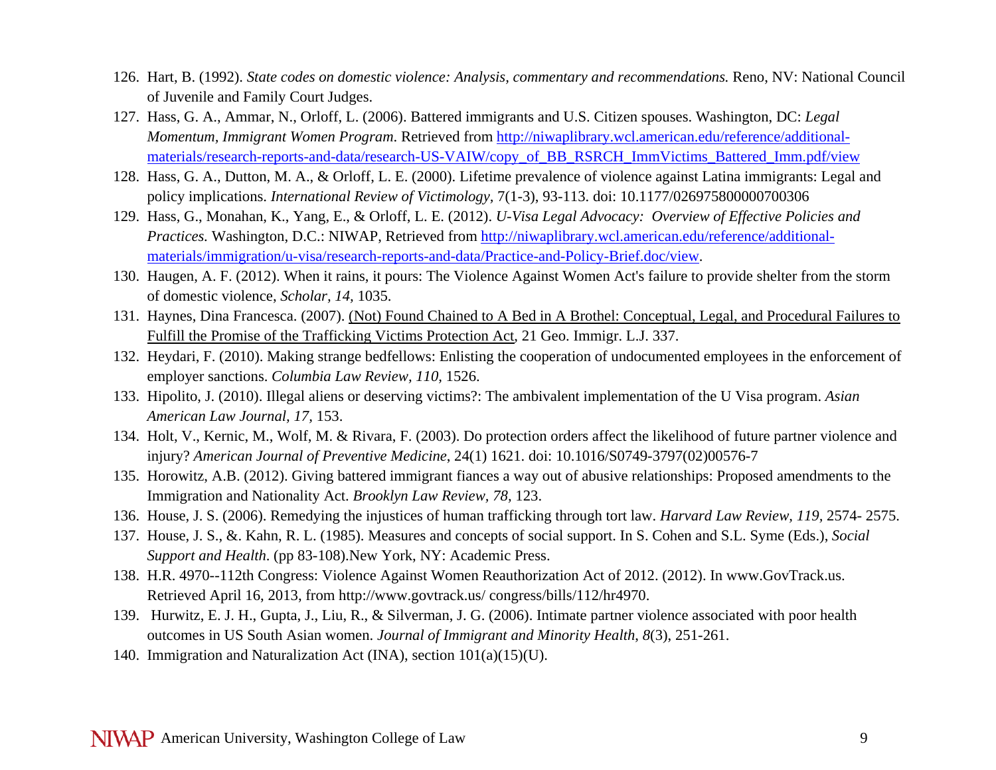- 126. Hart, B. (1992). *State codes on domestic violence: Analysis, commentary and recommendations.* Reno, NV: National Council of Juvenile and Family Court Judges.
- 127. Hass, G. A., Ammar, N., Orloff, L. (2006). Battered immigrants and U.S. Citizen spouses. Washington, DC: *Legal Momentum, Immigrant Women Program*. Retrieved from http://niwaplibrary.wcl.american.edu/reference/additionalmaterials/research-reports-and-data/research-US-VAIW/copy\_of\_BB\_RSRCH\_ImmVictims\_Battered\_Imm.pdf/view
- 128. Hass, G. A., Dutton, M. A., & Orloff, L. E. (2000). Lifetime prevalence of violence against Latina immigrants: Legal and policy implications. *International Review of Victimology,* 7(1-3), 93-113. doi: 10.1177/026975800000700306
- 129. Hass, G., Monahan, K., Yang, E., & Orloff, L. E. (2012). *U-Visa Legal Advocacy: Overview of Effective Policies and Practices.* Washington, D.C.: NIWAP, Retrieved from http://niwaplibrary.wcl.american.edu/reference/additionalmaterials/immigration/u-visa/research-reports-and-data/Practice-and-Policy-Brief.doc/view.
- 130. Haugen, A. F. (2012). When it rains, it pours: The Violence Against Women Act's failure to provide shelter from the storm of domestic violence, *Scholar, 14,* 1035.
- 131. Haynes, Dina Francesca. (2007). <u>(Not) Found Chained to A Bed in A Brothel: Conceptual, Legal, and Procedural Failures to</u> Fulfill the Promise of the Trafficking Victims Protection Act, 21 Geo. Immigr. L.J. 337.
- 132. Heydari, F. (2010). Making strange bedfellows: Enlisting the cooperation of undocumented employees in the enforcement of employer sanctions. *Columbia Law Review, 110,* 1526.
- 133. Hipolito, J. (2010). Illegal aliens or deserving victims?: The ambivalent implementation of the U Visa program. *Asian American Law Journal, 17,* 153.
- 134. Holt, V., Kernic, M., Wolf, M. & Rivara, F. (2003). Do protection orders affect the likelihood of future partner violence and injury? *American Journal of Preventive Medicine*, 24(1) 1621. doi: 10.1016/S0749-3797(02)00576-7
- 135. Horowitz, A.B. (2012). Giving battered immigrant fiances a way out of abusive relationships: Proposed amendments to the Immigration and Nationality Act. *Brooklyn Law Review, 78,* 123.
- 136. House, J. S. (2006). Remedying the injustices of human trafficking through tort law. *Harvard Law Review, 119,* 2574- 2575.
- 137. House, J. S., &. Kahn, R. L. (1985). Measures and concepts of social support. In S. Cohen and S.L. Syme (Eds.), *Social Support and Health*. (pp 83-108).New York, NY: Academic Press.
- 138. H.R. 4970--112th Congress: Violence Against Women Reauthorization Act of 2012. (2012). In www.GovTrack.us. Retrieved April 16, 2013, from http://www.govtrack.us/ congress/bills/112/hr4970.
- 139. Hurwitz, E. J. H., Gupta, J., Liu, R., & Silverman, J. G. (2006). Intimate partner violence associated with poor health outcomes in US South Asian women. *Journal of Immigrant and Minority Health*, *8*(3), 251-261.
- 140. Immigration and Naturalization Act (INA), section 101(a)(15)(U).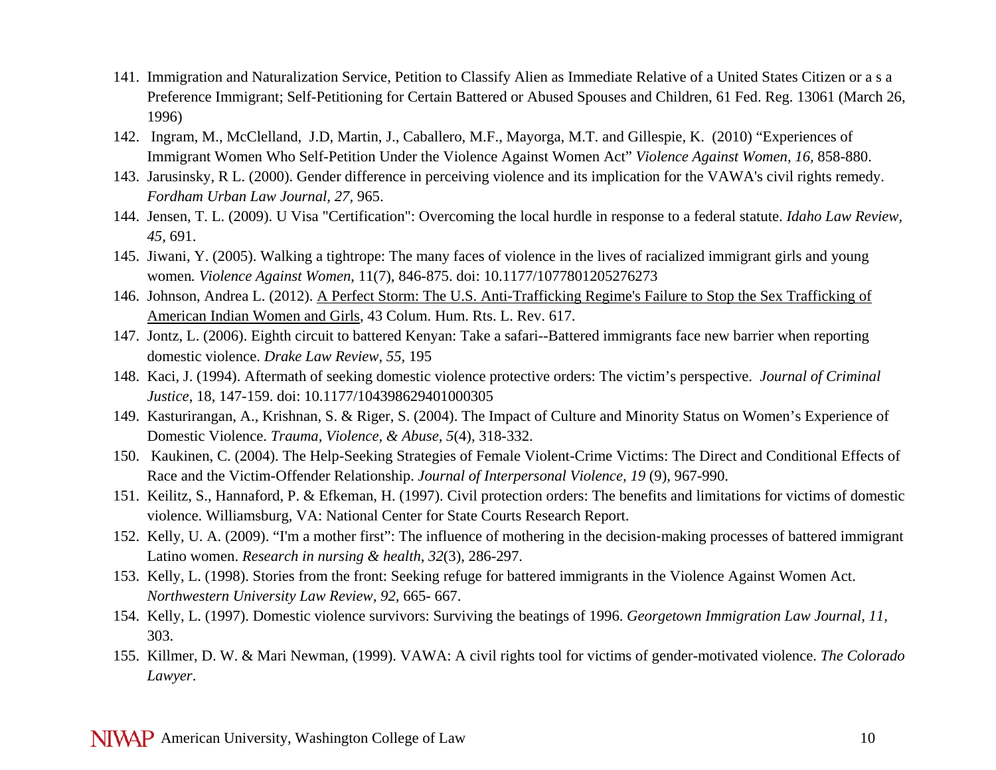- 141. Immigration and Naturalization Service, Petition to Classify Alien as Immediate Relative of a United States Citizen or a s a Preference Immigrant; Self-Petitioning for Certain Battered or Abused Spouses and Children, 61 Fed. Reg. 13061 (March 26, 1996)
- 142. Ingram, M., McClelland, J.D, Martin, J., Caballero, M.F., Mayorga, M.T. and Gillespie, K. (2010) "Experiences of Immigrant Women Who Self-Petition Under the Violence Against Women Act" *Violence Against Women, 16,* 858-880.
- 143. Jarusinsky, R L. (2000). Gender difference in perceiving violence and its implication for the VAWA's civil rights remedy. *Fordham Urban Law Journal, 27,* 965.
- 144. Jensen, T. L. (2009). U Visa "Certification": Overcoming the local hurdle in response to a federal statute. *Idaho Law Review, 45,* 691.
- 145. Jiwani, Y. (2005). Walking a tightrope: The many faces of violence in the lives of racialized immigrant girls and young women*. Violence Against Women*, 11(7), 846-875. doi: 10.1177/1077801205276273
- 146. Johnson, Andrea L. (2012). <u>A Perfect Storm: The U.S. Anti-Trafficking Regime's Failure to Stop the Sex Trafficking of</u> American Indian Women and Girls, 43 Colum. Hum. Rts. L. Rev. 617.
- 147. Jontz, L. (2006). Eighth circuit to battered Kenyan: Take a safari--Battered immigrants face new barrier when reporting domestic violence. *Drake Law Review, 55,* 195
- 148. Kaci, J. (1994). Aftermath of seeking domestic violence protective orders: The victim's perspective. *Journal of Criminal Justice*, 18, 147-159. doi: 10.1177/104398629401000305
- 149. Kasturirangan, A., Krishnan, S. & Riger, S. (2004). The Impact of Culture and Minority Status on Women's Experience of Domestic Violence. *Trauma, Violence, & Abuse, 5*(4), 318-332.
- 150. Kaukinen, C. (2004). The Help-Seeking Strategies of Female Violent-Crime Victims: The Direct and Conditional Effects of Race and the Victim-Offender Relationship. *Journal of Interpersonal Violence, 19* (9), 967-990.
- 151. Keilitz, S., Hannaford, P. & Efkeman, H. (1997). Civil protection orders: The benefits and limitations for victims of domestic violence. Williamsburg, VA: National Center for State Courts Research Report.
- 152. Kelly, U. A. (2009). "I'm a mother first": The influence of mothering in the decision‐making processes of battered immigrant Latino women. *Research in nursing & health*, *32*(3), 286-297.
- 153. Kelly, L. (1998). Stories from the front: Seeking refuge for battered immigrants in the Violence Against Women Act. *Northwestern University Law Review, 92,* 665- 667.
- 154. Kelly, L. (1997). Domestic violence survivors: Surviving the beatings of 1996. *Georgetown Immigration Law Journal, 11,* 303.
- 155. Killmer, D. W. & Mari Newman, (1999). VAWA: A civil rights tool for victims of gender-motivated violence. *The Colorado Lawyer*.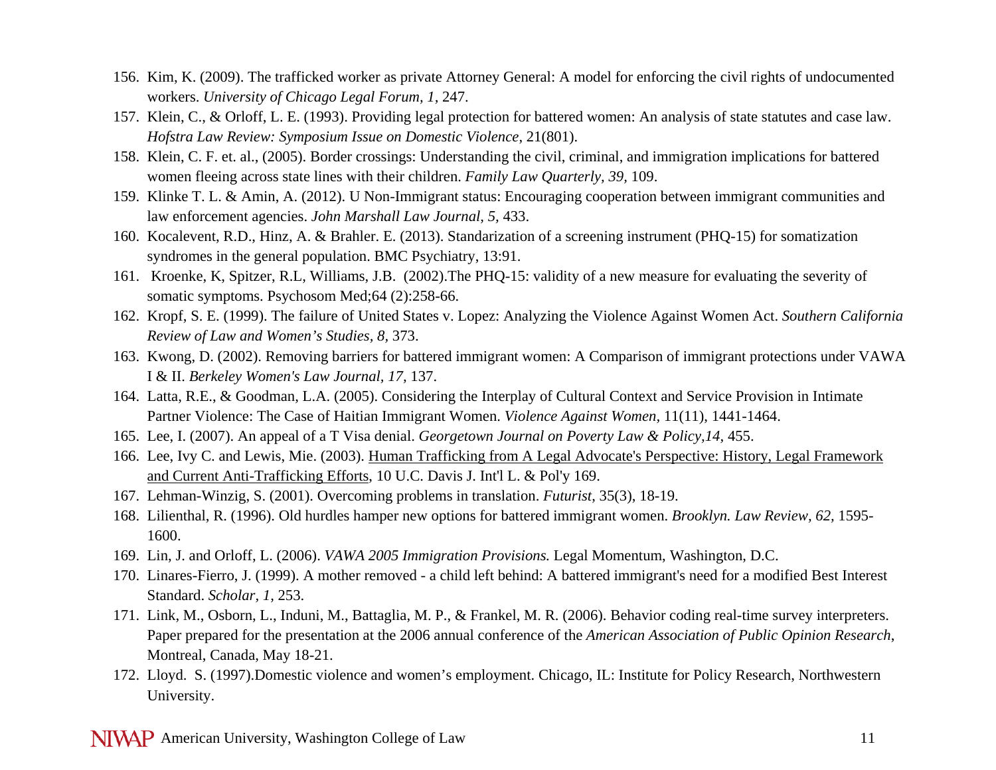- 156. Kim, K. (2009). The trafficked worker as private Attorney General: A model for enforcing the civil rights of undocumented workers. *University of Chicago Legal Forum, 1,* 247.
- 157. Klein, C., & Orloff, L. E. (1993). Providing legal protection for battered women: An analysis of state statutes and case law. *Hofstra Law Review: Symposium Issue on Domestic Violence,* 21(801).
- 158. Klein, C. F. et. al., (2005). Border crossings: Understanding the civil, criminal, and immigration implications for battered women fleeing across state lines with their children. *Family Law Quarterly, 39,* 109.
- 159. Klinke T. L. & Amin, A. (2012). U Non-Immigrant status: Encouraging cooperation between immigrant communities and law enforcement agencies. *John Marshall Law Journal, 5,* 433.
- 160. Kocalevent, R.D., Hinz, A. & Brahler. E. (2013). Standarization of a screening instrument (PHQ-15) for somatization syndromes in the general population. BMC Psychiatry, 13:91.
- 161. Kroenke, K, Spitzer, R.L, Williams, J.B. (2002).The PHQ-15: validity of a new measure for evaluating the severity of somatic symptoms. Psychosom Med;64 (2):258-66.
- 162. Kropf, S. E. (1999). The failure of United States v. Lopez: Analyzing the Violence Against Women Act. *Southern California Review of Law and Women's Studies, 8,* 373.
- 163. Kwong, D. (2002). Removing barriers for battered immigrant women: A Comparison of immigrant protections under VAWA I & II. *Berkeley Women's Law Journal, 17,* 137.
- 164. Latta, R.E., & Goodman, L.A. (2005). Considering the Interplay of Cultural Context and Service Provision in Intimate Partner Violence: The Case of Haitian Immigrant Women. *Violence Against Women,* 11(11), 1441-1464.
- 165. Lee, I. (2007). An appeal of a T Visa denial. *Georgetown Journal on Poverty Law & Policy,14,* 455.
- 166. Lee, Ivy C. and Lewis, Mie. (2003). Human Trafficking from A Legal Advocate's Perspective: History, Legal Framework and Current Anti-Trafficking Efforts, 10 U.C. Davis J. Int'l L. & Pol'y 169.
- 167. Lehman-Winzig, S. (2001). Overcoming problems in translation. *Futurist*, 35(3), 18-19.
- 168. Lilienthal, R. (1996). Old hurdles hamper new options for battered immigrant women. *Brooklyn. Law Review, 62,* 1595- 1600.
- 169. Lin, J. and Orloff, L. (2006). *VAWA 2005 Immigration Provisions.* Legal Momentum, Washington, D.C.
- 170. Linares-Fierro, J. (1999). A mother removed a child left behind: A battered immigrant's need for a modified Best Interest Standard. *Scholar, 1,* 253.
- 171. Link, M., Osborn, L., Induni, M., Battaglia, M. P., & Frankel, M. R. (2006). Behavior coding real-time survey interpreters. Paper prepared for the presentation at the 2006 annual conference of the *American Association of Public Opinion Research*, Montreal, Canada, May 18-21.
- 172. Lloyd. S. (1997).Domestic violence and women's employment. Chicago, IL: Institute for Policy Research, Northwestern University.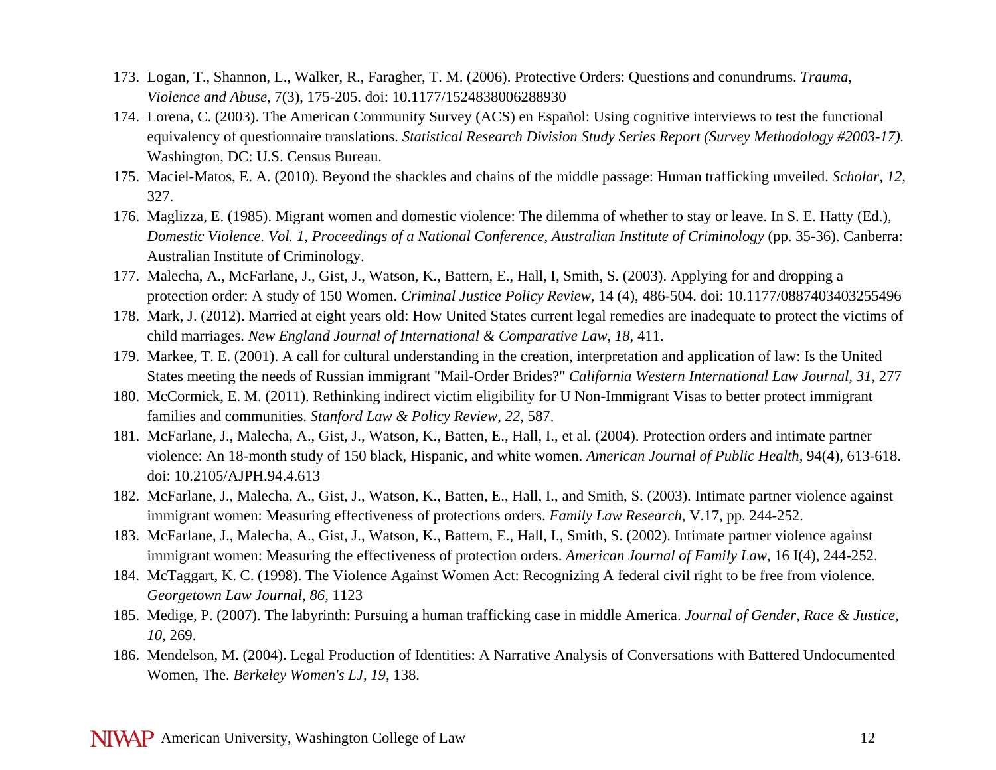- 173. Logan, T., Shannon, L., Walker, R., Faragher, T. M. (2006). Protective Orders: Questions and conundrums. *Trauma, Violence and Abuse*, 7(3), 175-205. doi: 10.1177/1524838006288930
- 174. Lorena, C. (2003). The American Community Survey (ACS) en Español: Using cognitive interviews to test the functional equivalency of questionnaire translations. *Statistical Research Division Study Series Report (Survey Methodology #2003-17)*. Washington, DC: U.S. Census Bureau.
- 175. Maciel-Matos, E. A. (2010). Beyond the shackles and chains of the middle passage: Human trafficking unveiled. *Scholar, 12,* 327.
- 176. Maglizza, E. (1985). Migrant women and domestic violence: The dilemma of whether to stay or leave. In S. E. Hatty (Ed.), *Domestic Violence. Vol. 1, Proceedings of a National Conference, Australian Institute of Criminology* (pp. 35-36). Canberra: Australian Institute of Criminology.
- 177. Malecha, A., McFarlane, J., Gist, J., Watson, K., Battern, E., Hall, I, Smith, S. (2003). Applying for and dropping a protection order: A study of 150 Women. *Criminal Justice Policy Review*, 14 (4), 486-504. doi: 10.1177/0887403403255496
- 178. Mark, J. (2012). Married at eight years old: How United States current legal remedies are inadequate to protect the victims of child marriages. *New England Journal of International & Comparative Law, 18,* 411.
- 179. Markee, T. E. (2001). A call for cultural understanding in the creation, interpretation and application of law: Is the United States meeting the needs of Russian immigrant "Mail-Order Brides?" *California Western International Law Journal, 31,* 277
- 180. McCormick, E. M. (2011). Rethinking indirect victim eligibility for U Non-Immigrant Visas to better protect immigrant families and communities. *Stanford Law & Policy Review, 22,* 587.
- 181. McFarlane, J., Malecha, A., Gist, J., Watson, K., Batten, E., Hall, I., et al. (2004). Protection orders and intimate partner violence: An 18-month study of 150 black, Hispanic, and white women. *American Journal of Public Health,* 94(4), 613-618. doi: 10.2105/AJPH.94.4.613
- 182. McFarlane, J., Malecha, A., Gist, J., Watson, K., Batten, E., Hall, I., and Smith, S. (2003). Intimate partner violence against immigrant women: Measuring effectiveness of protections orders. *Family Law Research*, V.17, pp. 244-252.
- 183. McFarlane, J., Malecha, A., Gist, J., Watson, K., Battern, E., Hall, I., Smith, S. (2002). Intimate partner violence against immigrant women: Measuring the effectiveness of protection orders. *American Journal of Family Law*, 16 I(4), 244-252.
- 184. McTaggart, K. C. (1998). The Violence Against Women Act: Recognizing A federal civil right to be free from violence. *Georgetown Law Journal, 86,* 1123
- 185. Medige, P. (2007). The labyrinth: Pursuing a human trafficking case in middle America. *Journal of Gender, Race & Justice, 10,* 269.
- 186. Mendelson, M. (2004). Legal Production of Identities: A Narrative Analysis of Conversations with Battered Undocumented Women, The. *Berkeley Women's LJ*, *19*, 138.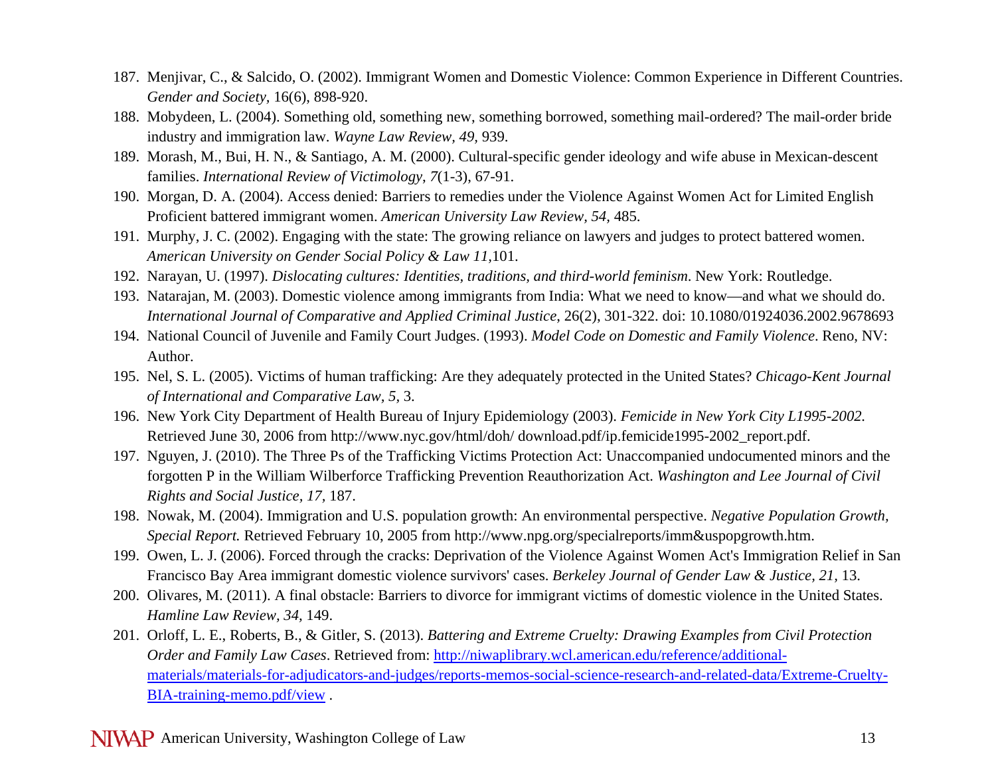- 187. Menjivar, C., & Salcido, O. (2002). Immigrant Women and Domestic Violence: Common Experience in Different Countries. *Gender and Society,* 16(6), 898-920.
- 188. Mobydeen, L. (2004). Something old, something new, something borrowed, something mail-ordered? The mail-order bride industry and immigration law. *Wayne Law Review, 49,* 939.
- 189. Morash, M., Bui, H. N., & Santiago, A. M. (2000). Cultural-specific gender ideology and wife abuse in Mexican-descent families. *International Review of Victimology*, *7*(1-3), 67-91.
- 190. Morgan, D. A. (2004). Access denied: Barriers to remedies under the Violence Against Women Act for Limited English Proficient battered immigrant women. *American University Law Review, 54,* 485.
- 191. Murphy, J. C. (2002). Engaging with the state: The growing reliance on lawyers and judges to protect battered women. *American University on Gender Social Policy & Law 11,*101.
- 192. Narayan, U. (1997). *Dislocating cultures: Identities, traditions, and third-world feminism*. New York: Routledge.
- 193. Natarajan, M. (2003). Domestic violence among immigrants from India: What we need to know—and what we should do. *International Journal of Comparative and Applied Criminal Justice*, 26(2), 301-322. doi: 10.1080/01924036.2002.9678693
- 194. National Council of Juvenile and Family Court Judges. (1993). *Model Code on Domestic and Family Violence*. Reno, NV: Author.
- 195. Nel, S. L. (2005). Victims of human trafficking: Are they adequately protected in the United States? *Chicago-Kent Journal of International and Comparative Law, 5,* 3.
- 196. New York City Department of Health Bureau of Injury Epidemiology (2003). *Femicide in New York City L1995-2002.*  Retrieved June 30, 2006 from http://www.nyc.gov/html/doh/ download.pdf/ip.femicide1995-2002\_report.pdf.
- 197. Nguyen, J. (2010). The Three Ps of the Trafficking Victims Protection Act: Unaccompanied undocumented minors and the forgotten P in the William Wilberforce Trafficking Prevention Reauthorization Act. *Washington and Lee Journal of Civil Rights and Social Justice, 17,* 187.
- 198. Nowak, M. (2004). Immigration and U.S. population growth: An environmental perspective. *Negative Population Growth, Special Report.* Retrieved February 10, 2005 from http://www.npg.org/specialreports/imm&uspopgrowth.htm.
- 199. Owen, L. J. (2006). Forced through the cracks: Deprivation of the Violence Against Women Act's Immigration Relief in San Francisco Bay Area immigrant domestic violence survivors' cases. *Berkeley Journal of Gender Law & Justice, 21,* 13.
- 200. Olivares, M. (2011). A final obstacle: Barriers to divorce for immigrant victims of domestic violence in the United States. *Hamline Law Review, 34,* 149.
- 201. Orloff, L. E., Roberts, B., & Gitler, S. (2013). *Battering and Extreme Cruelty: Drawing Examples from Civil Protection Order and Family Law Cases*. Retrieved from: http://niwaplibrary.wcl.american.edu/reference/additionalmaterials/materials-for-adjudicators-and-judges/reports-memos-social-science-research-and-related-data/Extreme-Cruelty-BIA-training-memo.pdf/view .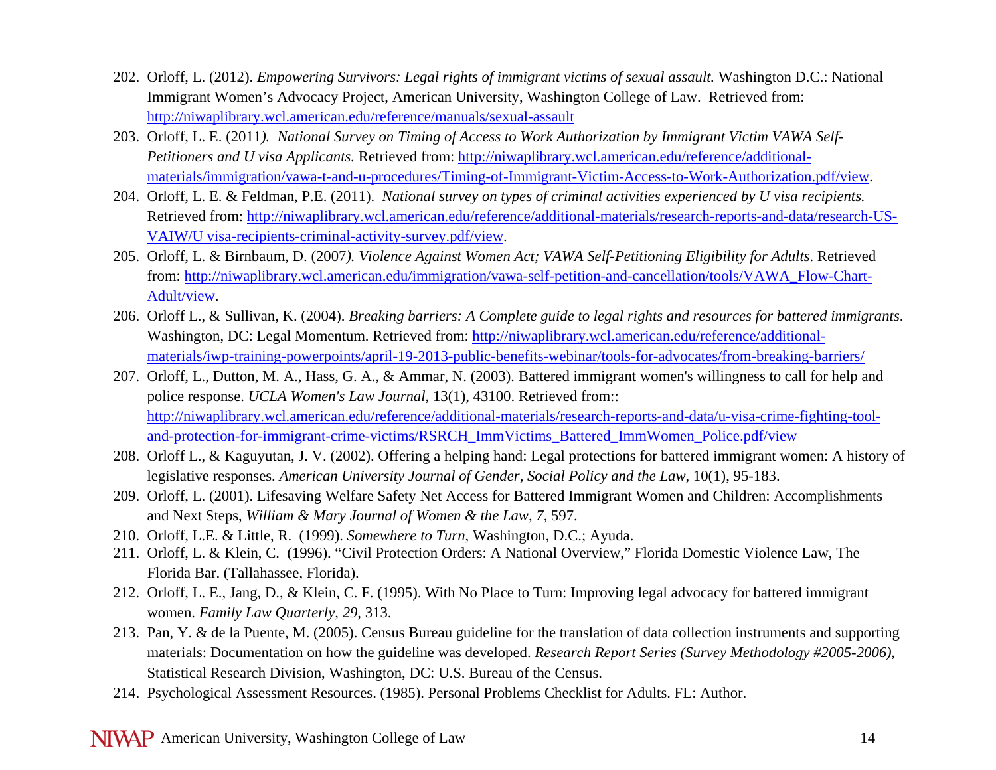- 202. Orloff, L. (2012). *Empowering Survivors: Legal rights of immigrant victims of sexual assault.* Washington D.C.: National Immigrant Women's Advocacy Project, American University, Washington College of Law. Retrieved from: http://niwaplibrary.wcl.american.edu/reference/manuals/sexual-assault
- 203. Orloff, L. E. (2011*). National Survey on Timing of Access to Work Authorization by Immigrant Victim VAWA Self-Petitioners and U visa Applicants.* Retrieved from: http://niwaplibrary.wcl.american.edu/reference/additionalmaterials/immigration/vawa-t-and-u-procedures/Timing-of-Immigrant-Victim-Access-to-Work-Authorization.pdf/view.
- 204. Orloff, L. E. & Feldman, P.E. (2011). *National survey on types of criminal activities experienced by U visa recipients.*  Retrieved from: http://niwaplibrary.wcl.american.edu/reference/additional-materials/research-reports-and-data/research-US-VAIW/U visa-recipients-criminal-activity-survey.pdf/view.
- 205. Orloff, L. & Birnbaum, D. (2007*). Violence Against Women Act; VAWA Self-Petitioning Eligibility for Adults*. Retrieved from: http://niwaplibrary.wcl.american.edu/immigration/vawa-self-petition-and-cancellation/tools/VAWA\_Flow-Chart-Adult/view.
- 206. Orloff L., & Sullivan, K. (2004). *Breaking barriers: A Complete guide to legal rights and resources for battered immigrants*. Washington, DC: Legal Momentum. Retrieved from: http://niwaplibrary.wcl.american.edu/reference/additionalmaterials/iwp-training-powerpoints/april-19-2013-public-benefits-webinar/tools-for-advocates/from-breaking-barriers/
- 207. Orloff, L., Dutton, M. A., Hass, G. A., & Ammar, N. (2003). Battered immigrant women's willingness to call for help and police response. *UCLA Women's Law Journal*, 13(1), 43100. Retrieved from:: http://niwaplibrary.wcl.american.edu/reference/additional-materials/research-reports-and-data/u-visa-crime-fighting-tooland-protection-for-immigrant-crime-victims/RSRCH\_ImmVictims\_Battered\_ImmWomen\_Police.pdf/view
- 208. Orloff L., & Kaguyutan, J. V. (2002). Offering a helping hand: Legal protections for battered immigrant women: A history of legislative responses. *American University Journal of Gender, Social Policy and the Law*, 10(1), 95-183.
- 209. Orloff, L. (2001). Lifesaving Welfare Safety Net Access for Battered Immigrant Women and Children: Accomplishments and Next Steps, *William & Mary Journal of Women & the Law, 7,* 597.
- 210. Orloff, L.E. & Little, R. (1999). *Somewhere to Turn*, Washington, D.C.; Ayuda.
- 211. Orloff, L. & Klein, C. (1996). "Civil Protection Orders: A National Overview," Florida Domestic Violence Law, The Florida Bar. (Tallahassee, Florida).
- 212. Orloff, L. E., Jang, D., & Klein, C. F. (1995). With No Place to Turn: Improving legal advocacy for battered immigrant women. *Family Law Quarterly, 29,* 313.
- 213. Pan, Y. & de la Puente, M. (2005). Census Bureau guideline for the translation of data collection instruments and supporting materials: Documentation on how the guideline was developed. *Research Report Series (Survey Methodology #2005-2006)*, Statistical Research Division, Washington, DC: U.S. Bureau of the Census.
- 214. Psychological Assessment Resources. (1985). Personal Problems Checklist for Adults. FL: Author.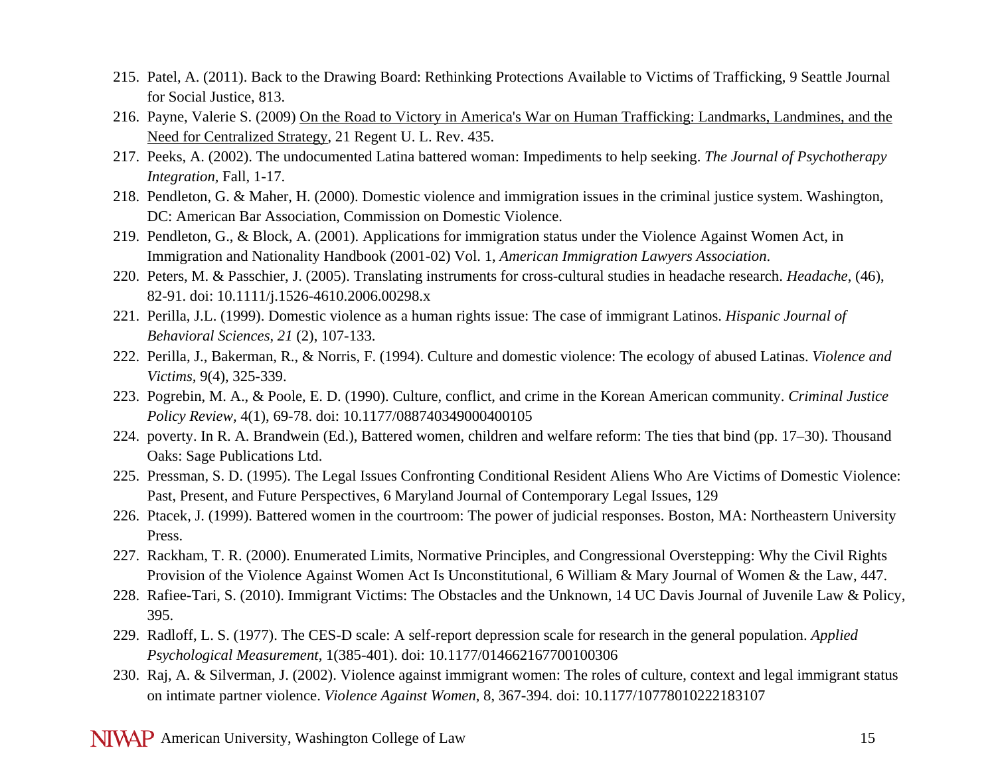- 215. Patel, A. (2011). Back to the Drawing Board: Rethinking Protections Available to Victims of Trafficking, 9 Seattle Journal for Social Justice, 813.
- 216. Payne, Valerie S. (2009) <u>On the Road to Victory in America's War on Human Trafficking: Landmarks, Landmines, and the</u> Need for Centralized Strategy, 21 Regent U. L. Rev. 435.
- 217. Peeks, A. (2002). The undocumented Latina battered woman: Impediments to help seeking. *The Journal of Psychotherapy Integration,* Fall, 1-17.
- 218. Pendleton, G. & Maher, H. (2000). Domestic violence and immigration issues in the criminal justice system. Washington, DC: American Bar Association, Commission on Domestic Violence.
- 219. Pendleton, G., & Block, A. (2001). Applications for immigration status under the Violence Against Women Act, in Immigration and Nationality Handbook (2001-02) Vol. 1, *American Immigration Lawyers Association*.
- 220. Peters, M. & Passchier, J. (2005). Translating instruments for cross-cultural studies in headache research. *Headache*, (46), 82-91. doi: 10.1111/j.1526-4610.2006.00298.x
- 221. Perilla, J.L. (1999). Domestic violence as a human rights issue: The case of immigrant Latinos. *Hispanic Journal of Behavioral Sciences, 21* (2), 107-133.
- 222. Perilla, J., Bakerman, R., & Norris, F. (1994). Culture and domestic violence: The ecology of abused Latinas. *Violence and Victims,* 9(4), 325-339.
- 223. Pogrebin, M. A., & Poole, E. D. (1990). Culture, conflict, and crime in the Korean American community. *Criminal Justice Policy Review,* 4(1), 69-78. doi: 10.1177/088740349000400105
- 224. poverty. In R. A. Brandwein (Ed.), Battered women, children and welfare reform: The ties that bind (pp. 17–30). Thousand Oaks: Sage Publications Ltd.
- 225. Pressman, S. D. (1995). The Legal Issues Confronting Conditional Resident Aliens Who Are Victims of Domestic Violence: Past, Present, and Future Perspectives, 6 Maryland Journal of Contemporary Legal Issues, 129
- 226. Ptacek, J. (1999). Battered women in the courtroom: The power of judicial responses. Boston, MA: Northeastern University Press.
- 227. Rackham, T. R. (2000). Enumerated Limits, Normative Principles, and Congressional Overstepping: Why the Civil Rights Provision of the Violence Against Women Act Is Unconstitutional, 6 William & Mary Journal of Women & the Law, 447.
- 228. Rafiee-Tari, S. (2010). Immigrant Victims: The Obstacles and the Unknown, 14 UC Davis Journal of Juvenile Law & Policy, 395.
- 229. Radloff, L. S. (1977). The CES-D scale: A self-report depression scale for research in the general population. *Applied Psychological Measurement,* 1(385-401). doi: 10.1177/014662167700100306
- 230. Raj, A. & Silverman, J. (2002). Violence against immigrant women: The roles of culture, context and legal immigrant status on intimate partner violence. *Violence Against Women*, 8, 367-394. doi: 10.1177/10778010222183107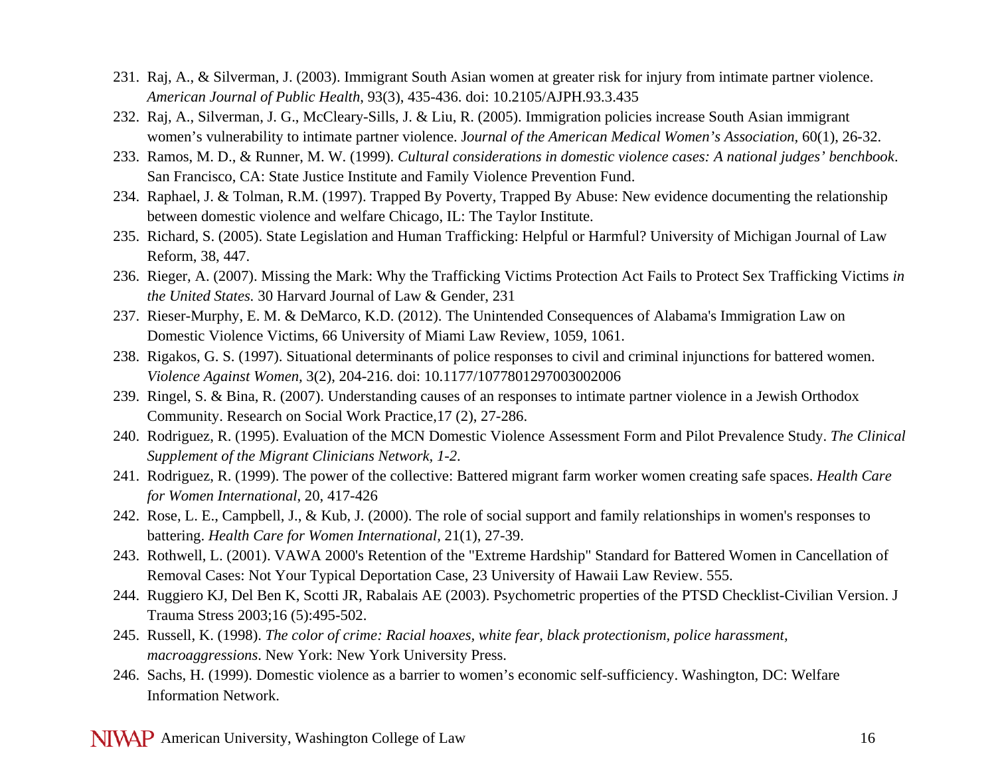- 231. Raj, A., & Silverman, J. (2003). Immigrant South Asian women at greater risk for injury from intimate partner violence. *American Journal of Public Health*, 93(3), 435-436. doi: 10.2105/AJPH.93.3.435
- 232. Raj, A., Silverman, J. G., McCleary-Sills, J. & Liu, R. (2005). Immigration policies increase South Asian immigrant women's vulnerability to intimate partner violence. J*ournal of the American Medical Women's Association,* 60(1), 26-32.
- 233. Ramos, M. D., & Runner, M. W. (1999). *Cultural considerations in domestic violence cases: A national judges' benchbook*. San Francisco, CA: State Justice Institute and Family Violence Prevention Fund.
- 234. Raphael, J. & Tolman, R.M. (1997). Trapped By Poverty, Trapped By Abuse: New evidence documenting the relationship between domestic violence and welfare Chicago, IL: The Taylor Institute.
- 235. Richard, S. (2005). State Legislation and Human Trafficking: Helpful or Harmful? University of Michigan Journal of Law Reform, 38, 447.
- 236. Rieger, A. (2007). Missing the Mark: Why the Trafficking Victims Protection Act Fails to Protect Sex Trafficking Victims *in the United States.* 30 Harvard Journal of Law & Gender, 231
- 237. Rieser-Murphy, E. M. & DeMarco, K.D. (2012). The Unintended Consequences of Alabama's Immigration Law on Domestic Violence Victims, 66 University of Miami Law Review, 1059, 1061.
- 238. Rigakos, G. S. (1997). Situational determinants of police responses to civil and criminal injunctions for battered women. *Violence Against Women,* 3(2), 204-216. doi: 10.1177/1077801297003002006
- 239. Ringel, S. & Bina, R. (2007). Understanding causes of an responses to intimate partner violence in a Jewish Orthodox Community. Research on Social Work Practice,17 (2), 27-286.
- 240. Rodriguez, R. (1995). Evaluation of the MCN Domestic Violence Assessment Form and Pilot Prevalence Study. *The Clinical Supplement of the Migrant Clinicians Network, 1-2*.
- 241. Rodriguez, R. (1999). The power of the collective: Battered migrant farm worker women creating safe spaces. *Health Care for Women International*, 20, 417-426
- 242. Rose, L. E., Campbell, J., & Kub, J. (2000). The role of social support and family relationships in women's responses to battering. *Health Care for Women International,* 21(1), 27-39.
- 243. Rothwell, L. (2001). VAWA 2000's Retention of the "Extreme Hardship" Standard for Battered Women in Cancellation of Removal Cases: Not Your Typical Deportation Case, 23 University of Hawaii Law Review. 555.
- 244. Ruggiero KJ, Del Ben K, Scotti JR, Rabalais AE (2003). Psychometric properties of the PTSD Checklist-Civilian Version. J Trauma Stress 2003;16 (5):495-502.
- 245. Russell, K. (1998). *The color of crime: Racial hoaxes, white fear, black protectionism, police harassment, macroaggressions*. New York: New York University Press.
- 246. Sachs, H. (1999). Domestic violence as a barrier to women's economic self-sufficiency. Washington, DC: Welfare Information Network.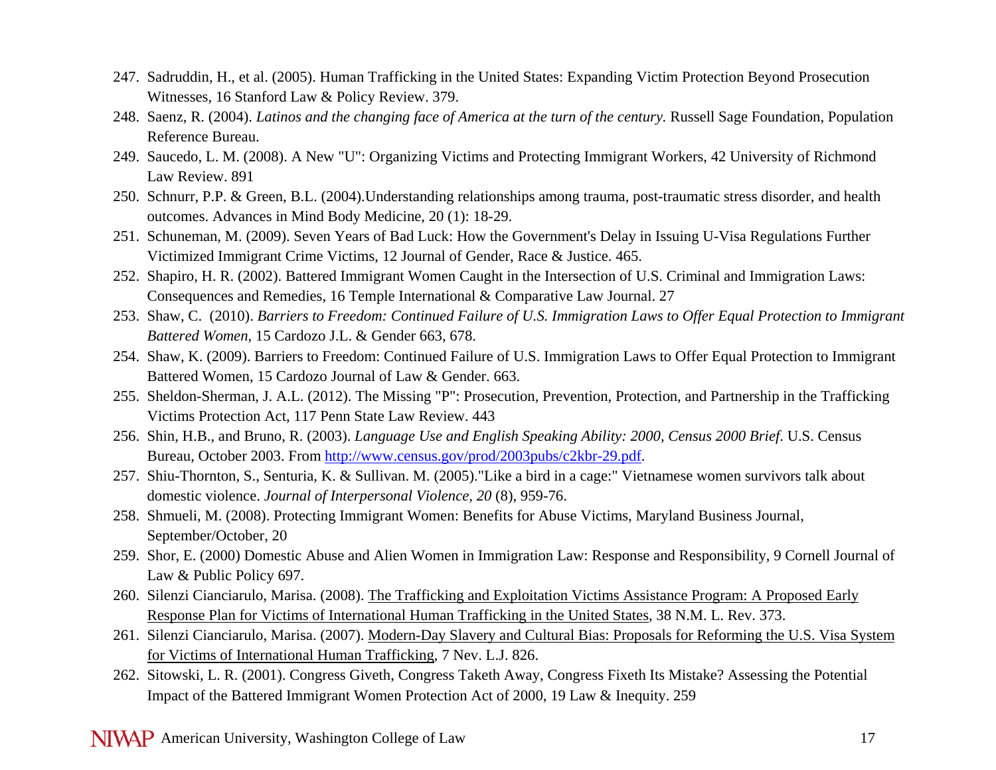- 247. Sadruddin, H., et al. (2005). Human Trafficking in the United States: Expanding Victim Protection Beyond Prosecution Witnesses, 16 Stanford Law & Policy Review. 379.
- 248. Saenz, R. (2004). *Latinos and the changing face of America at the turn of the century.* Russell Sage Foundation, Population Reference Bureau.
- 249. Saucedo, L. M. (2008). A New "U": Organizing Victims and Protecting Immigrant Workers, 42 University of Richmond Law Review. 891
- 250. Schnurr, P.P. & Green, B.L. (2004).Understanding relationships among trauma, post-traumatic stress disorder, and health outcomes. Advances in Mind Body Medicine, 20 (1): 18-29.
- 251. Schuneman, M. (2009). Seven Years of Bad Luck: How the Government's Delay in Issuing U-Visa Regulations Further Victimized Immigrant Crime Victims, 12 Journal of Gender, Race & Justice. 465.
- 252. Shapiro, H. R. (2002). Battered Immigrant Women Caught in the Intersection of U.S. Criminal and Immigration Laws: Consequences and Remedies, 16 Temple International & Comparative Law Journal. 27
- 253. Shaw, C. (2010). *Barriers to Freedom: Continued Failure of U.S. Immigration Laws to Offer Equal Protection to Immigrant Battered Women*, 15 Cardozo J.L. & Gender 663, 678.
- 254. Shaw, K. (2009). Barriers to Freedom: Continued Failure of U.S. Immigration Laws to Offer Equal Protection to Immigrant Battered Women, 15 Cardozo Journal of Law & Gender. 663.
- 255. Sheldon-Sherman, J. A.L. (2012). The Missing "P": Prosecution, Prevention, Protection, and Partnership in the Trafficking Victims Protection Act, 117 Penn State Law Review. 443
- 256. Shin, H.B., and Bruno, R. (2003). *Language Use and English Speaking Ability: 2000, Census 2000 Brief*. U.S. Census Bureau, October 2003. From http://www.census.gov/prod/2003pubs/c2kbr-29.pdf.
- 257. Shiu-Thornton, S., Senturia, K. & Sullivan. M. (2005)."Like a bird in a cage:" Vietnamese women survivors talk about domestic violence. *Journal of Interpersonal Violence, 20* (8), 959-76.
- 258. Shmueli, M. (2008). Protecting Immigrant Women: Benefits for Abuse Victims, Maryland Business Journal, September/October, 20
- 259. Shor, E. (2000) Domestic Abuse and Alien Women in Immigration Law: Response and Responsibility, 9 Cornell Journal of Law & Public Policy 697.
- 260. Silenzi Cianciarulo, Marisa. (2008). The Trafficking and Exploitation Victims Assistance Program: A Proposed Early Response Plan for Victims of International Human Trafficking in the United States, 38 N.M. L. Rev. 373.
- 261. Silenzi Cianciarulo, Marisa. (2007). <u>Modern-Day Slavery and Cultural Bias: Proposals for Reforming the U.S. Visa System</u> for Victims of International Human Trafficking, 7 Nev. L.J. 826.
- 262. Sitowski, L. R. (2001). Congress Giveth, Congress Taketh Away, Congress Fixeth Its Mistake? Assessing the Potential Impact of the Battered Immigrant Women Protection Act of 2000, 19 Law & Inequity. 259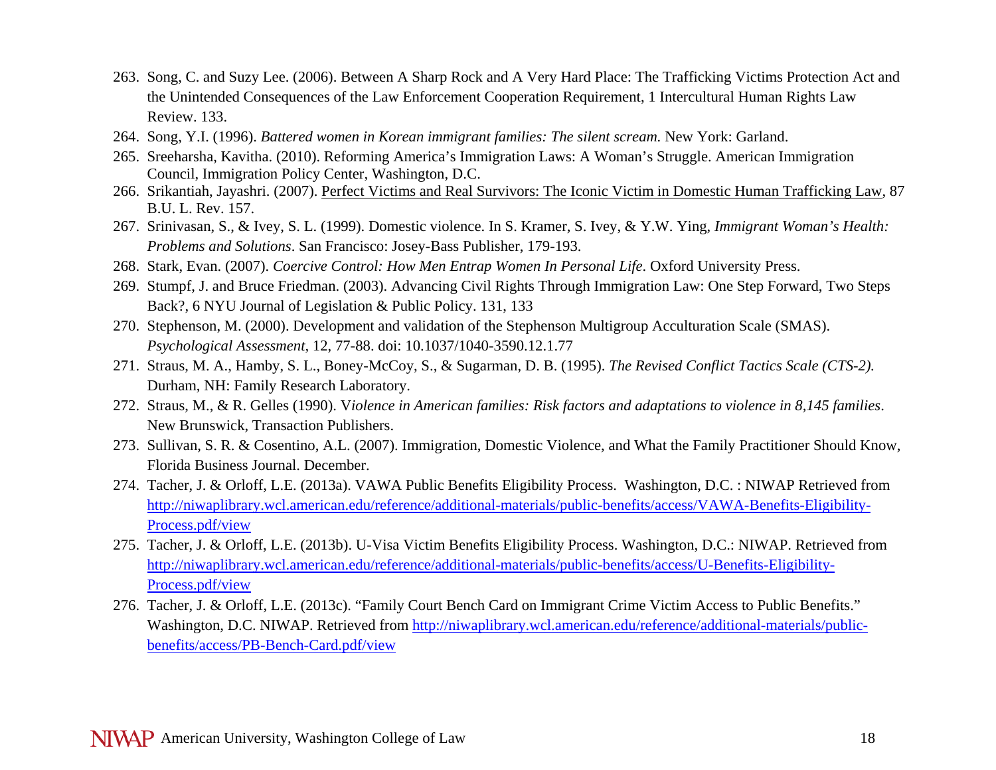- 263. Song, C. and Suzy Lee. (2006). Between A Sharp Rock and A Very Hard Place: The Trafficking Victims Protection Act and the Unintended Consequences of the Law Enforcement Cooperation Requirement, 1 Intercultural Human Rights Law Review. 133.
- 264. Song, Y.I. (1996). *Battered women in Korean immigrant families: The silent scream.* New York: Garland.
- 265. Sreeharsha, Kavitha. (2010). Reforming America's Immigration Laws: A Woman's Struggle. American Immigration Council, Immigration Policy Center, Washington, D.C.
- 266. Srikantiah, Jayashri. (2007). <u>Perfect Victims and Real Survivors: The Iconic Victim in Domestic Human Trafficking Law,</u> 87 B.U. L. Rev. 157.
- 267. Srinivasan, S., & Ivey, S. L. (1999). Domestic violence. In S. Kramer, S. Ivey, & Y.W. Ying, *Immigrant Woman's Health: Problems and Solutions*. San Francisco: Josey-Bass Publisher, 179-193.
- 268. Stark, Evan. (2007). *Coercive Control: How Men Entrap Women In Personal Life*. Oxford University Press.
- 269. Stumpf, J. and Bruce Friedman. (2003). Advancing Civil Rights Through Immigration Law: One Step Forward, Two Steps Back?, 6 NYU Journal of Legislation & Public Policy. 131, 133
- 270. Stephenson, M. (2000). Development and validation of the Stephenson Multigroup Acculturation Scale (SMAS). *Psychological Assessment,* 12, 77-88. doi: 10.1037/1040-3590.12.1.77
- 271. Straus, M. A., Hamby, S. L., Boney-McCoy, S., & Sugarman, D. B. (1995). *The Revised Conflict Tactics Scale (CTS-2).*  Durham, NH: Family Research Laboratory.
- 272. Straus, M., & R. Gelles (1990). V*iolence in American families: Risk factors and adaptations to violence in 8,145 families*. New Brunswick, Transaction Publishers.
- 273. Sullivan, S. R. & Cosentino, A.L. (2007). Immigration, Domestic Violence, and What the Family Practitioner Should Know, Florida Business Journal. December.
- 274. Tacher, J. & Orloff, L.E. (2013a). VAWA Public Benefits Eligibility Process. Washington, D.C. : NIWAP Retrieved from http://niwaplibrary.wcl.american.edu/reference/additional-materials/public-benefits/access/VAWA-Benefits-Eligibility-Process.pdf/view
- 275. Tacher, J. & Orloff, L.E. (2013b). U-Visa Victim Benefits Eligibility Process. Washington, D.C.: NIWAP. Retrieved from http://niwaplibrary.wcl.american.edu/reference/additional-materials/public-benefits/access/U-Benefits-Eligibility-Process.pdf/view
- 276. Tacher, J. & Orloff, L.E. (2013c). "Family Court Bench Card on Immigrant Crime Victim Access to Public Benefits." Washington, D.C. NIWAP. Retrieved from http://niwaplibrary.wcl.american.edu/reference/additional-materials/publicbenefits/access/PB-Bench-Card.pdf/view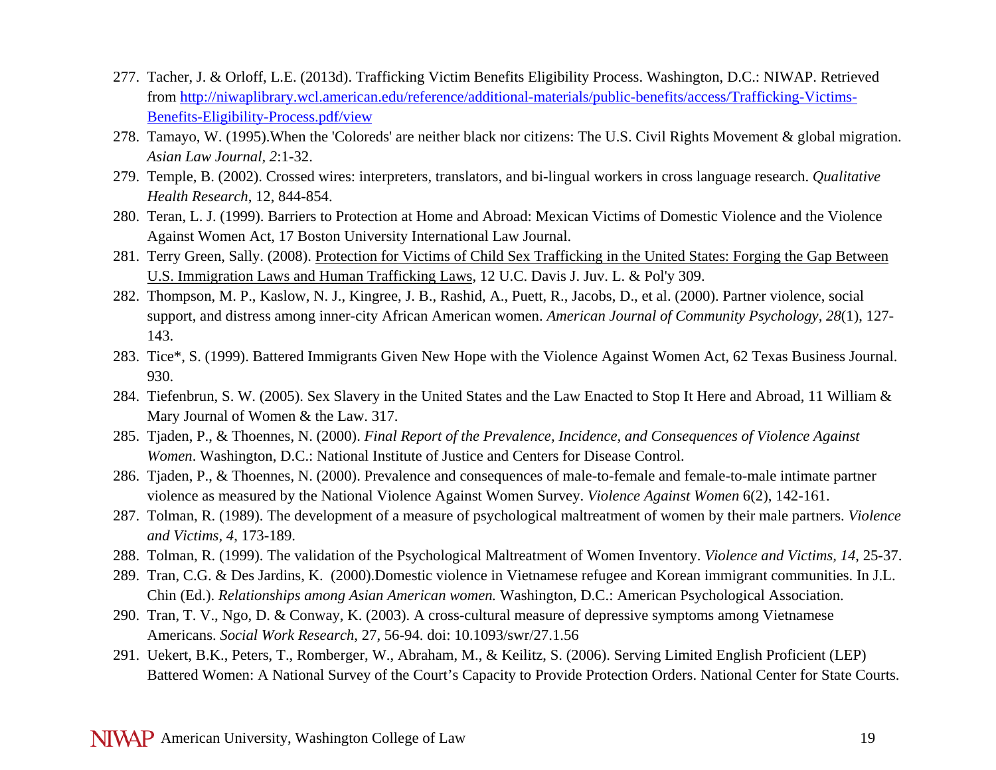- 277. Tacher, J. & Orloff, L.E. (2013d). Trafficking Victim Benefits Eligibility Process. Washington, D.C.: NIWAP. Retrieved from http://niwaplibrary.wcl.american.edu/reference/additional-materials/public-benefits/access/Trafficking-Victims-Benefits-Eligibility-Process.pdf/view
- 278. Tamayo, W. (1995).When the 'Coloreds' are neither black nor citizens: The U.S. Civil Rights Movement & global migration. *Asian Law Journal, 2*:1-32.
- 279. Temple, B. (2002). Crossed wires: interpreters, translators, and bi-lingual workers in cross language research. *Qualitative Health Research*, 12, 844-854.
- 280. Teran, L. J. (1999). Barriers to Protection at Home and Abroad: Mexican Victims of Domestic Violence and the Violence Against Women Act, 17 Boston University International Law Journal.
- 281. Terry Green, Sally. (2008). <u>Protection for Victims of Child Sex Trafficking in the United States: Forging the Gap Between</u> U.S. Immigration Laws and Human Trafficking Laws, 12 U.C. Davis J. Juv. L. & Pol'y 309.
- 282. Thompson, M. P., Kaslow, N. J., Kingree, J. B., Rashid, A., Puett, R., Jacobs, D., et al. (2000). Partner violence, social support, and distress among inner-city African American women. *American Journal of Community Psychology, 28*(1), 127- 143.
- 283. Tice\*, S. (1999). Battered Immigrants Given New Hope with the Violence Against Women Act, 62 Texas Business Journal. 930.
- 284. Tiefenbrun, S. W. (2005). Sex Slavery in the United States and the Law Enacted to Stop It Here and Abroad, 11 William & Mary Journal of Women & the Law. 317.
- 285. Tjaden, P., & Thoennes, N. (2000). *Final Report of the Prevalence, Incidence, and Consequences of Violence Against Women*. Washington, D.C.: National Institute of Justice and Centers for Disease Control.
- 286. Tjaden, P., & Thoennes, N. (2000). Prevalence and consequences of male-to-female and female-to-male intimate partner violence as measured by the National Violence Against Women Survey. *Violence Against Women* 6(2), 142-161.
- 287. Tolman, R. (1989). The development of a measure of psychological maltreatment of women by their male partners. *Violence and Victims, 4*, 173-189.
- 288. Tolman, R. (1999). The validation of the Psychological Maltreatment of Women Inventory. *Violence and Victims, 14*, 25-37.
- 289. Tran, C.G. & Des Jardins, K. (2000).Domestic violence in Vietnamese refugee and Korean immigrant communities. In J.L. Chin (Ed.). *Relationships among Asian American women.* Washington, D.C.: American Psychological Association.
- 290. Tran, T. V., Ngo, D. & Conway, K. (2003). A cross-cultural measure of depressive symptoms among Vietnamese Americans. *Social Work Research*, 27, 56-94. doi: 10.1093/swr/27.1.56
- 291. Uekert, B.K., Peters, T., Romberger, W., Abraham, M., & Keilitz, S. (2006). Serving Limited English Proficient (LEP) Battered Women: A National Survey of the Court's Capacity to Provide Protection Orders. National Center for State Courts.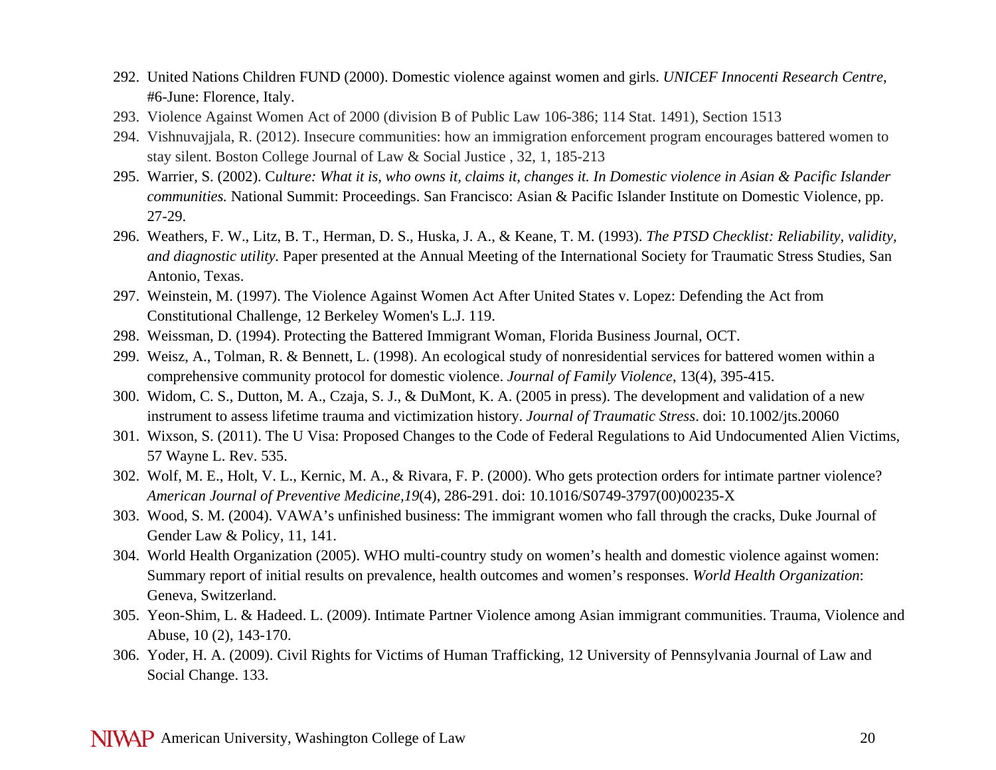- 292. United Nations Children FUND (2000). Domestic violence against women and girls. *UNICEF Innocenti Research Centre*, #6-June: Florence, Italy.
- 293. Violence Against Women Act of 2000 (division B of Public Law 106-386; 114 Stat. 1491), Section 1513
- 294. Vishnuvajjala, R. (2012). Insecure communities: how an immigration enforcement program encourages battered women to stay silent. Boston College Journal of Law & Social Justice , 32, 1, 185-213
- 295. Warrier, S. (2002). C*ulture: What it is, who owns it, claims it, changes it. In Domestic violence in Asian & Pacific Islander communities.* National Summit: Proceedings. San Francisco: Asian & Pacific Islander Institute on Domestic Violence, pp. 27-29.
- 296. Weathers, F. W., Litz, B. T., Herman, D. S., Huska, J. A., & Keane, T. M. (1993). *The PTSD Checklist: Reliability, validity, and diagnostic utility.* Paper presented at the Annual Meeting of the International Society for Traumatic Stress Studies, San Antonio, Texas.
- 297. Weinstein, M. (1997). The Violence Against Women Act After United States v. Lopez: Defending the Act from Constitutional Challenge, 12 Berkeley Women's L.J. 119.
- 298. Weissman, D. (1994). Protecting the Battered Immigrant Woman, Florida Business Journal, OCT.
- 299. Weisz, A., Tolman, R. & Bennett, L. (1998). An ecological study of nonresidential services for battered women within a comprehensive community protocol for domestic violence. *Journal of Family Violence*, 13(4), 395-415.
- 300. Widom, C. S., Dutton, M. A., Czaja, S. J., & DuMont, K. A. (2005 in press). The development and validation of a new instrument to assess lifetime trauma and victimization history. *Journal of Traumatic Stress*. doi: 10.1002/jts.20060
- 301. Wixson, S. (2011). The U Visa: Proposed Changes to the Code of Federal Regulations to Aid Undocumented Alien Victims, 57 Wayne L. Rev. 535.
- 302. Wolf, M. E., Holt, V. L., Kernic, M. A., & Rivara, F. P. (2000). Who gets protection orders for intimate partner violence? *American Journal of Preventive Medicine,19*(4), 286-291. doi: 10.1016/S0749-3797(00)00235-X
- 303. Wood, S. M. (2004). VAWA's unfinished business: The immigrant women who fall through the cracks, Duke Journal of Gender Law & Policy, 11, 141.
- 304. World Health Organization (2005). WHO multi-country study on women's health and domestic violence against women: Summary report of initial results on prevalence, health outcomes and women's responses. *World Health Organization*: Geneva, Switzerland.
- 305. Yeon-Shim, L. & Hadeed. L. (2009). Intimate Partner Violence among Asian immigrant communities. Trauma, Violence and Abuse, 10 (2), 143-170.
- 306. Yoder, H. A. (2009). Civil Rights for Victims of Human Trafficking, 12 University of Pennsylvania Journal of Law and Social Change. 133.